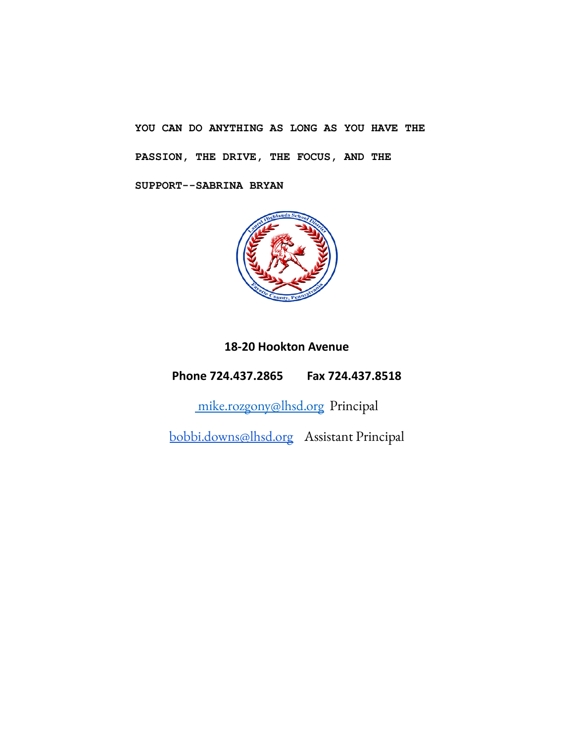**YOU CAN DO ANYTHING AS LONG AS YOU HAVE THE PASSION, THE DRIVE, THE FOCUS, AND THE SUPPORT--SABRINA BRYAN**



# **18-20 Hookton Avenue**

**Phone 724.437.2865 Fax 724.437.8518**

[mike.rozgony@lhsd.org](mailto:mike.rozgony@lhsd.org) Principal

[bobbi.downs@lhsd.org](mailto:bobbi.downs@lhsd.org) Assistant Principal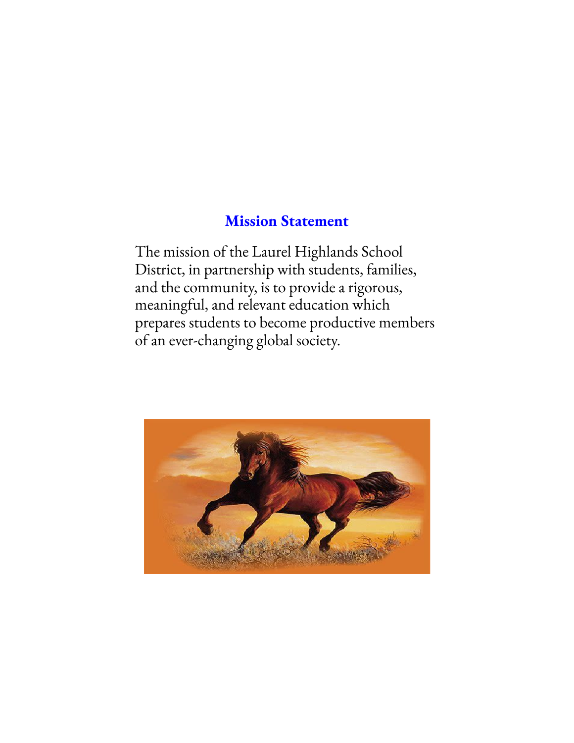# **Mission Statement**

The mission of the Laurel Highlands School District, in partnership with students, families, and the community, is to provide a rigorous, meaningful, and relevant education which prepares students to become productive members of an ever-changing global society.

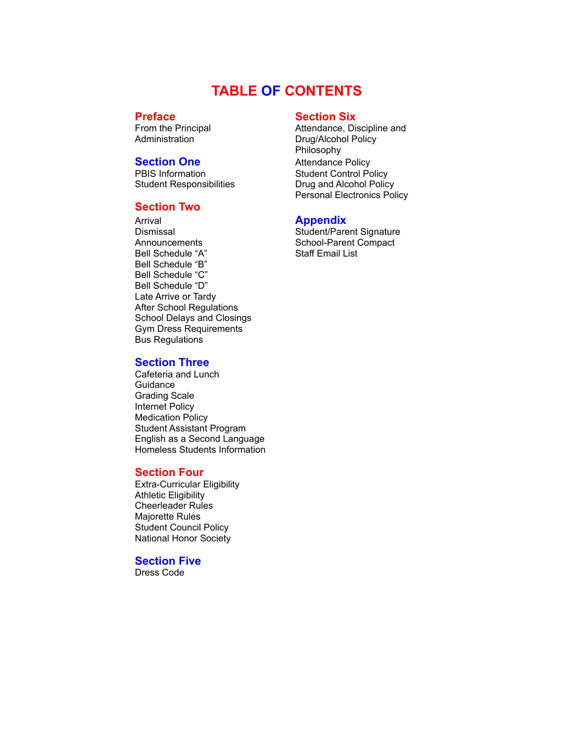# **TABLE OF CONTENTS**

**Preface Section Six**<br> **Prom the Principal Section Six**<br> **Section Six**<br> **Section Six** 

Student Responsibilities **Drug and Alcohol Policy** 

# **Section Two**

Arrival **Appendix**<br>
Dismissal **Appendix**<br>
Student/Pare Announcements School-Parent Compact<br>
Bell Schedule "A" Staff Email List Bell Schedule "A" Bell Schedule "B" Bell Schedule "C" Bell Schedule "D" Late Arrive or Tardy After School Regulations School Delays and Closings Gym Dress Requirements Bus Regulations

# **Section Three**

Cafeteria and Lunch **Guidance** Grading Scale Internet Policy Medication Policy Student Assistant Program English as a Second Language Homeless Students Information

#### **Section Four**

Extra-Curricular Eligibility Athletic Eligibility Cheerleader Rules Majorette Rules Student Council Policy National Honor Society

### **Section Five**

Dress Code

From the Principal **Attendance**, Discipline and Administration **Attendance**, Discipline and Administration **Drug/Alcohol Policy** Philosophy **Section One** Attendance Policy PBIS Information Student Control Policy Personal Electronics Policy

Student/Parent Signature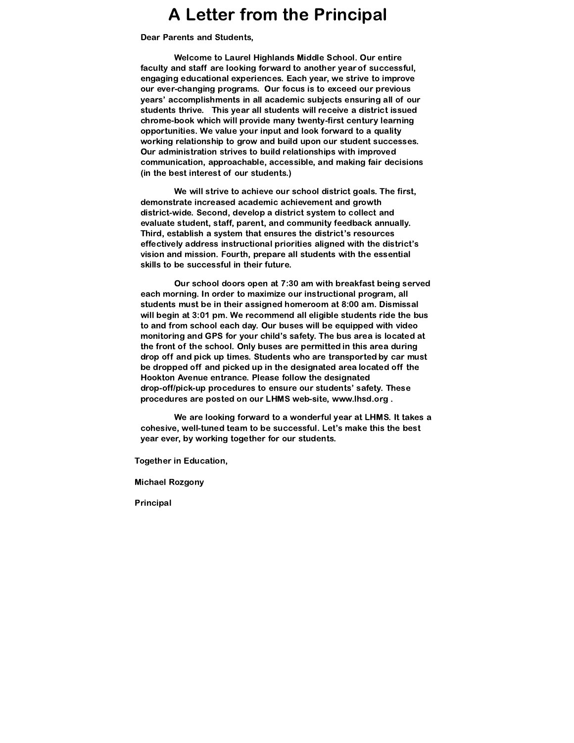# A Letter from the Principal

Dear Parents and Students,

Welcome to Laurel Highlands Middle School. Our entire faculty and staff are looking forward to another year of successful, engaging educational experiences. Each year, we strive to improve our ever-changing programs. Our focus is to exceed our previous years' accomplishments in all academic subjects ensuring all of our students thrive. This year all students will receive a district issued chrome-book which will provide many twenty-first century learning opportunities. We value your input and look forward to a quality working relationship to grow and build upon our student successes. Our administration strives to build relationships with improved communication, approachable, accessible, and making fair decisions (in the best interest of our students.)

We will strive to achieve our school district goals. The first, demonstrate increased academic achievement and growth district-wide. Second, develop a district system to collect and evaluate student, staff, parent, and community feedback annually. Third, establish a system that ensures the district's resources effectively address instructional priorities aligned with the district's vision and mission. Fourth, prepare all students with the essential skills to be successful in their future.

Our school doors open at 7:30 am with breakfast being served each morning. In order to maximize our instructional program, all students must be in their assigned homeroom at 8:00 am. Dismissal will begin at 3:01 pm. We recommend all eligible students ride the bus to and from school each day. Our buses will be equipped with video monitoring and GPS for your child's safety. The bus area is located at the front of the school. Only buses are permitted in this area during drop off and pick up times. Students who are transported by car must be dropped off and picked up in the designated area located off the Hookton Avenue entrance. Please follow the designated drop-off/pick-up procedures to ensure our students' safety. These procedures are posted on our LHMS web-site, [www.lhsd.org](http://www.lhsd.org/) .

We are looking forward to a wonderful year at LHMS. It takes a cohesive, well-tuned team to be successful. Let's make this the best year ever, by working together for our students.

Together in Education,

Michael Rozgony

Principal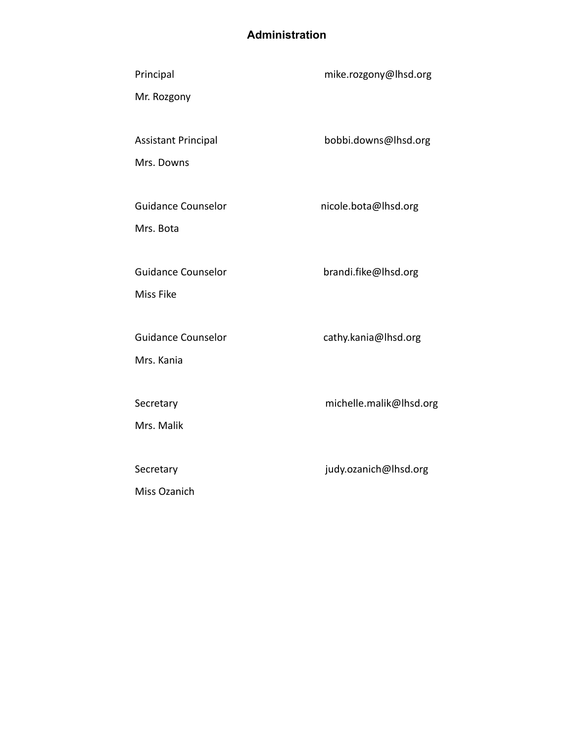# **Administration**

| Principal                  | mike.rozgony@lhsd.org   |
|----------------------------|-------------------------|
| Mr. Rozgony                |                         |
|                            |                         |
| <b>Assistant Principal</b> | bobbi.downs@lhsd.org    |
| Mrs. Downs                 |                         |
|                            |                         |
| <b>Guidance Counselor</b>  | nicole.bota@lhsd.org    |
| Mrs. Bota                  |                         |
|                            |                         |
| <b>Guidance Counselor</b>  | brandi.fike@lhsd.org    |
| Miss Fike                  |                         |
|                            |                         |
| <b>Guidance Counselor</b>  | cathy.kania@lhsd.org    |
| Mrs. Kania                 |                         |
|                            |                         |
| Secretary                  | michelle.malik@lhsd.org |
| Mrs. Malik                 |                         |
|                            |                         |
| Secretary                  | judy.ozanich@lhsd.org   |
| Miss Ozanich               |                         |
|                            |                         |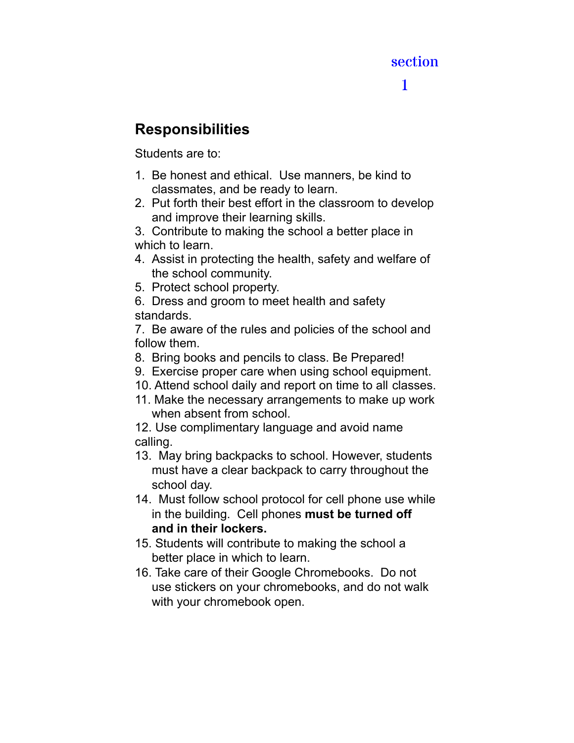# section

# 1

# **Responsibilities**

Students are to:

- 1. Be honest and ethical. Use manners, be kind to classmates, and be ready to learn.
- 2. Put forth their best effort in the classroom to develop and improve their learning skills.

3. Contribute to making the school a better place in which to learn.

- 4. Assist in protecting the health, safety and welfare of the school community.
- 5. Protect school property.

6. Dress and groom to meet health and safety standards.

7. Be aware of the rules and policies of the school and follow them.

- 8. Bring books and pencils to class. Be Prepared!
- 9. Exercise proper care when using school equipment.
- 10. Attend school daily and report on time to all classes.
- 11. Make the necessary arrangements to make up work when absent from school.

12. Use complimentary language and avoid name calling.

- 13. May bring backpacks to school. However, students must have a clear backpack to carry throughout the school day.
- 14. Must follow school protocol for cell phone use while in the building. Cell phones **must be turned off and in their lockers.**
- 15. Students will contribute to making the school a better place in which to learn.
- 16. Take care of their Google Chromebooks. Do not use stickers on your chromebooks, and do not walk with your chromebook open.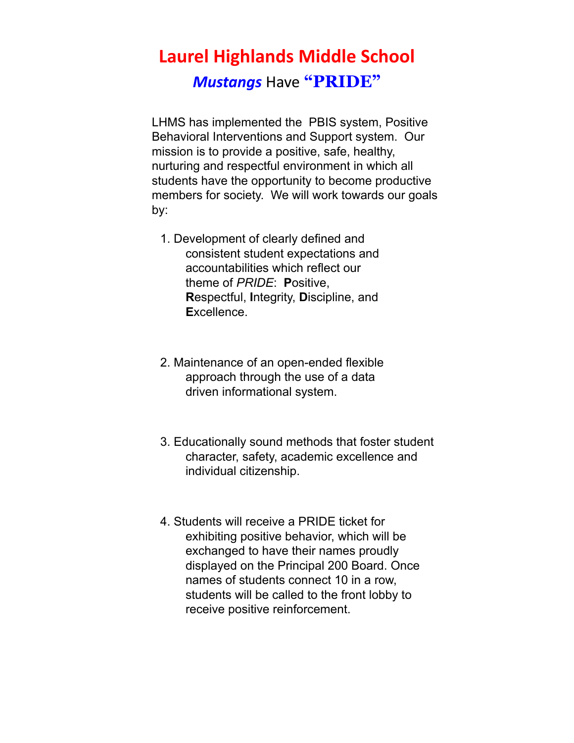# **Laurel Highlands Middle School** *Mustangs* Have **"PRIDE"**

LHMS has implemented the PBIS system, Positive Behavioral Interventions and Support system. Our mission is to provide a positive, safe, healthy, nurturing and respectful environment in which all students have the opportunity to become productive members for society. We will work towards our goals by:

- 1. Development of clearly defined and consistent student expectations and accountabilities which reflect our theme of *PRIDE*: **P**ositive, **R**espectful, **I**ntegrity, **D**iscipline, and **E**xcellence.
- 2. Maintenance of an open-ended flexible approach through the use of a data driven informational system.
- 3. Educationally sound methods that foster student character, safety, academic excellence and individual citizenship.
- 4. Students will receive a PRIDE ticket for exhibiting positive behavior, which will be exchanged to have their names proudly displayed on the Principal 200 Board. Once names of students connect 10 in a row, students will be called to the front lobby to receive positive reinforcement.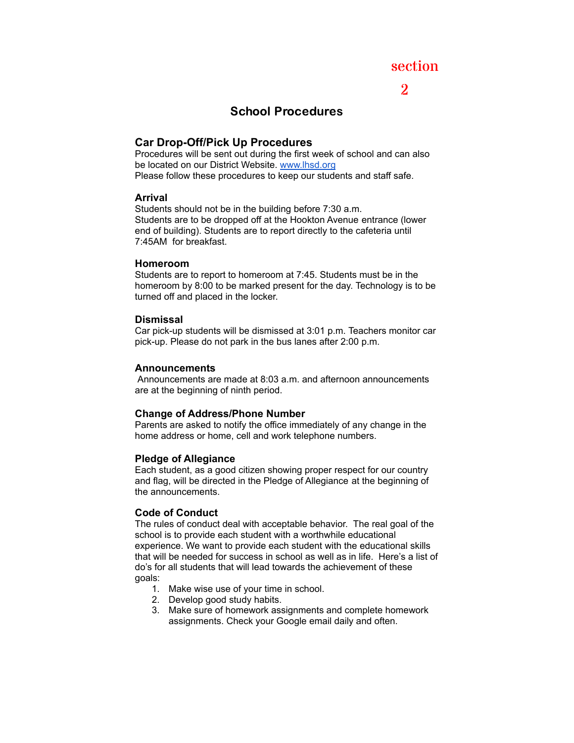# section

# 2

# School Procedures

# **Car Drop-Off/Pick Up Procedures**

Procedures will be sent out during the first week of school and can also be located on our District Website. [www.lhsd.org](http://www.lhsd.org) Please follow these procedures to keep our students and staff safe.

### **Arrival**

Students should not be in the building before 7:30 a.m. Students are to be dropped off at the Hookton Avenue entrance (lower end of building). Students are to report directly to the cafeteria until 7:45AM for breakfast.

### **Homeroom**

Students are to report to homeroom at 7:45. Students must be in the homeroom by 8:00 to be marked present for the day. Technology is to be turned off and placed in the locker.

# **Dismissal**

Car pick-up students will be dismissed at 3:01 p.m. Teachers monitor car pick-up. Please do not park in the bus lanes after 2:00 p.m.

# **Announcements**

Announcements are made at 8:03 a.m. and afternoon announcements are at the beginning of ninth period.

# **Change of Address/Phone Number**

Parents are asked to notify the office immediately of any change in the home address or home, cell and work telephone numbers.

# **Pledge of Allegiance**

Each student, as a good citizen showing proper respect for our country and flag, will be directed in the Pledge of Allegiance at the beginning of the announcements.

# **Code of Conduct**

The rules of conduct deal with acceptable behavior. The real goal of the school is to provide each student with a worthwhile educational experience. We want to provide each student with the educational skills that will be needed for success in school as well as in life. Here's a list of do's for all students that will lead towards the achievement of these goals:

- 1. Make wise use of your time in school.
- 2. Develop good study habits.
- 3. Make sure of homework assignments and complete homework assignments. Check your Google email daily and often.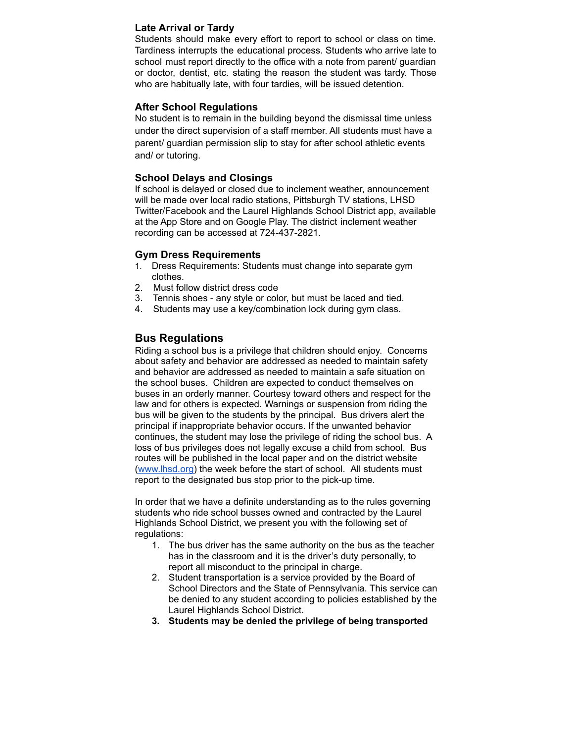# **Late Arrival or Tardy**

Students should make every effort to report to school or class on time. Tardiness interrupts the educational process. Students who arrive late to school must report directly to the office with a note from parent/ guardian or doctor, dentist, etc. stating the reason the student was tardy. Those who are habitually late, with four tardies, will be issued detention.

#### **After School Regulations**

No student is to remain in the building beyond the dismissal time unless under the direct supervision of a staff member. All students must have a parent/ guardian permission slip to stay for after school athletic events and/ or tutoring.

### **School Delays and Closings**

If school is delayed or closed due to inclement weather, announcement will be made over local radio stations, Pittsburgh TV stations, LHSD Twitter/Facebook and the Laurel Highlands School District app, available at the App Store and on Google Play. The district inclement weather recording can be accessed at 724-437-2821.

# **Gym Dress Requirements**

- 1. Dress Requirements: Students must change into separate gym clothes.
- 2. Must follow district dress code
- 3. Tennis shoes any style or color, but must be laced and tied.
- 4. Students may use a key/combination lock during gym class.

# **Bus Regulations**

Riding a school bus is a privilege that children should enjoy. Concerns about safety and behavior are addressed as needed to maintain safety and behavior are addressed as needed to maintain a safe situation on the school buses. Children are expected to conduct themselves on buses in an orderly manner. Courtesy toward others and respect for the law and for others is expected. Warnings or suspension from riding the bus will be given to the students by the principal. Bus drivers alert the principal if inappropriate behavior occurs. If the unwanted behavior continues, the student may lose the privilege of riding the school bus. A loss of bus privileges does not legally excuse a child from school. Bus routes will be published in the local paper and on the district website [\(www.lhsd.org\)](http://www.lhsd.org) the week before the start of school. All students must report to the designated bus stop prior to the pick-up time.

In order that we have a definite understanding as to the rules governing students who ride school busses owned and contracted by the Laurel Highlands School District, we present you with the following set of regulations:

- 1. The bus driver has the same authority on the bus as the teacher has in the classroom and it is the driver's duty personally, to report all misconduct to the principal in charge.
- 2. Student transportation is a service provided by the Board of School Directors and the State of Pennsylvania. This service can be denied to any student according to policies established by the Laurel Highlands School District.
- **3. Students may be denied the privilege of being transported**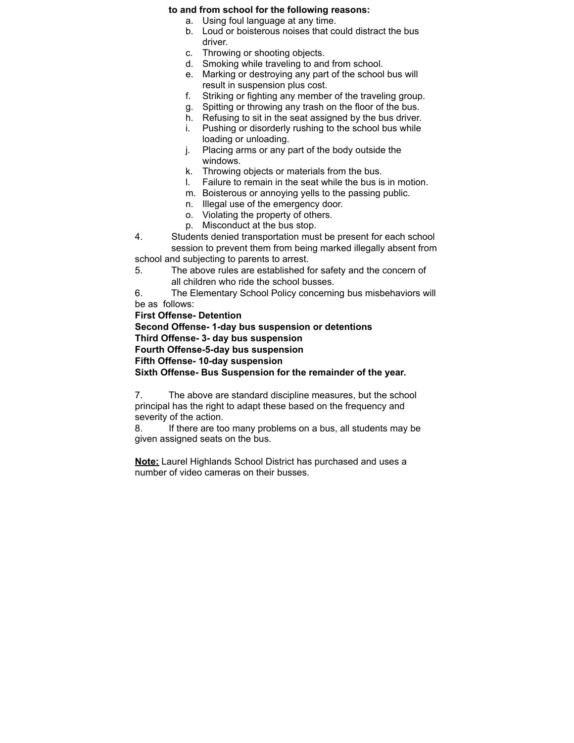#### **to and from school for the following reasons:**

- a. Using foul language at any time.
- b. Loud or boisterous noises that could distract the bus driver.
- c. Throwing or shooting objects.
- d. Smoking while traveling to and from school.
- e. Marking or destroying any part of the school bus will result in suspension plus cost.
- f. Striking or fighting any member of the traveling group.
- g. Spitting or throwing any trash on the floor of the bus.
- h. Refusing to sit in the seat assigned by the bus driver.
- i. Pushing or disorderly rushing to the school bus while loading or unloading.
- j. Placing arms or any part of the body outside the windows.
- k. Throwing objects or materials from the bus.<br>I. Failure to remain in the seat while the bus is
- Failure to remain in the seat while the bus is in motion.
- m. Boisterous or annoying yells to the passing public.
- n. Illegal use of the emergency door.
- o. Violating the property of others.
- p. Misconduct at the bus stop.
- 4. Students denied transportation must be present for each school session to prevent them from being marked illegally absent from school and subjecting to parents to arrest.
- 5. The above rules are established for safety and the concern of all children who ride the school busses.

6. The Elementary School Policy concerning bus misbehaviors will be as follows:

**First Offense- Detention Second Offense- 1-day bus suspension or detentions Third Offense- 3- day bus suspension Fourth Offense-5-day bus suspension Fifth Offense- 10-day suspension Sixth Offense- Bus Suspension for the remainder of the year.**

7. The above are standard discipline measures, but the school principal has the right to adapt these based on the frequency and severity of the action.

8. If there are too many problems on a bus, all students may be given assigned seats on the bus.

**Note:** Laurel Highlands School District has purchased and uses a number of video cameras on their busses.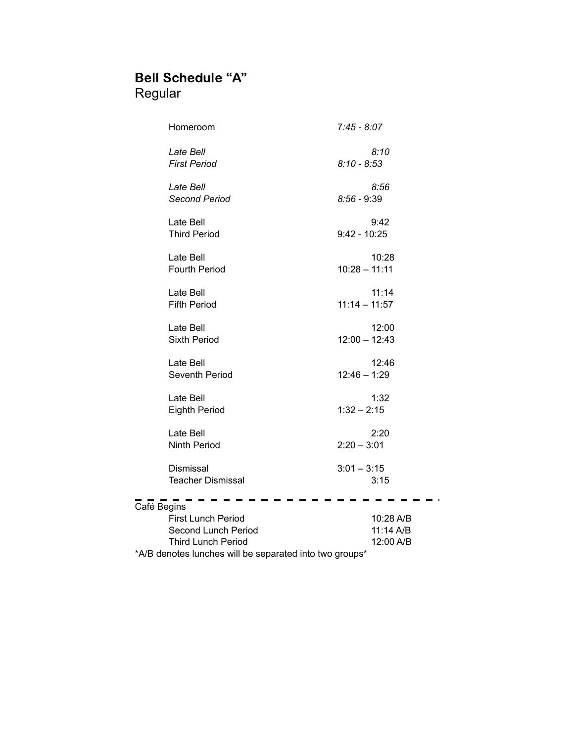# Bell Schedule "A" Regular

| Homeroom                                                | $7:45 - 8:07$   |
|---------------------------------------------------------|-----------------|
| Late Bell                                               | 8:10            |
| <b>First Period</b>                                     | $8:10 - 8:53$   |
| Late Bell                                               | 8:56            |
| <b>Second Period</b>                                    | $8:56 - 9:39$   |
| Late Bell                                               | 9:42            |
| <b>Third Period</b>                                     | $9:42 - 10:25$  |
| Late Bell                                               | 10:28           |
| <b>Fourth Period</b>                                    | $10:28 - 11:11$ |
| Late Bell                                               | 11:14           |
| <b>Fifth Period</b>                                     | $11:14 - 11:57$ |
| Late Bell                                               | 12:00           |
| <b>Sixth Period</b>                                     | $12:00 - 12:43$ |
| Late Bell                                               | 12:46           |
| Seventh Period                                          | $12:46 - 1:29$  |
| Late Bell                                               | 1:32            |
| <b>Eighth Period</b>                                    | $1:32 - 2:15$   |
| Late Bell                                               | 2:20            |
| <b>Ninth Period</b>                                     | $2:20 - 3:01$   |
| Dismissal                                               | $3:01 - 3:15$   |
| <b>Teacher Dismissal</b>                                | 3:15            |
| Café Begins                                             |                 |
| First Lunch Period                                      | 10:28 A/B       |
| Second Lunch Period                                     | 11:14 A/B       |
| <b>Third Lunch Period</b>                               | 12:00 A/B       |
| *A/B denotes lunches will be separated into two groups* |                 |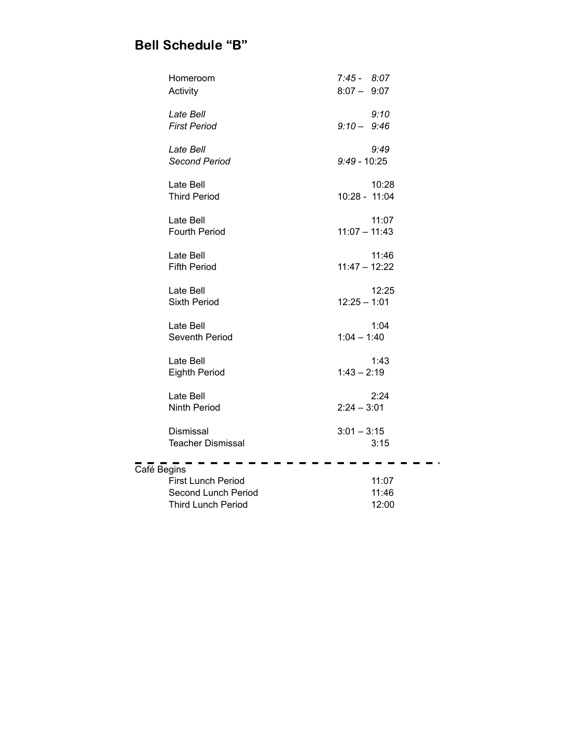# Bell Schedule "B"

|             | Homeroom                         | $7:45 - 8:07$   |       |
|-------------|----------------------------------|-----------------|-------|
|             | Activity                         | $8:07 - 9:07$   |       |
|             | Late Bell                        |                 | 9:10  |
|             | <b>First Period</b>              | $9:10 - 9:46$   |       |
|             | Late Bell                        |                 | 9:49  |
|             | <b>Second Period</b>             | $9:49 - 10:25$  |       |
|             | Late Bell                        |                 | 10:28 |
|             | <b>Third Period</b>              | 10:28 - 11:04   |       |
|             | Late Bell                        |                 | 11:07 |
|             | <b>Fourth Period</b>             | $11:07 - 11:43$ |       |
|             |                                  |                 |       |
|             | Late Bell<br><b>Fifth Period</b> | $11:47 - 12:22$ | 11:46 |
|             |                                  |                 |       |
|             | Late Bell<br><b>Sixth Period</b> | $12:25 - 1:01$  | 12:25 |
|             |                                  |                 |       |
|             | Late Bell                        |                 | 1:04  |
|             | Seventh Period                   | $1:04 - 1:40$   |       |
|             | Late Bell                        |                 | 1:43  |
|             | <b>Eighth Period</b>             | $1:43 - 2:19$   |       |
|             | Late Bell                        |                 | 2:24  |
|             | <b>Ninth Period</b>              | $2:24 - 3:01$   |       |
|             | Dismissal                        | $3:01 - 3:15$   |       |
|             | <b>Teacher Dismissal</b>         |                 | 3:15  |
|             |                                  |                 |       |
| Café Begins | <b>First Lunch Period</b>        |                 | 11:07 |
|             | Second Lunch Period              |                 | 11:46 |
|             | <b>Third Lunch Period</b>        |                 | 12:00 |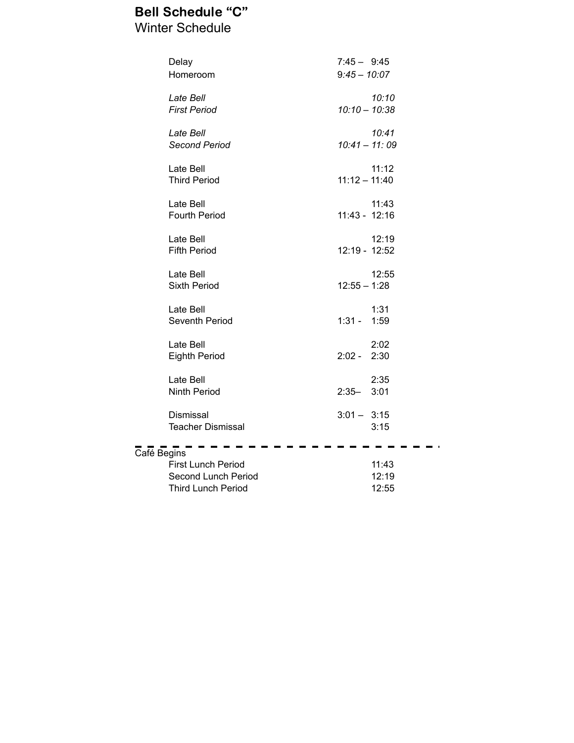# Bell Schedule "C" Winter Schedule

|             | Delay                    | $7:45 - 9:45$   |       |
|-------------|--------------------------|-----------------|-------|
|             | Homeroom                 | $9:45 - 10:07$  |       |
|             | Late Bell                |                 | 10:10 |
|             | <b>First Period</b>      | $10:10 - 10:38$ |       |
|             |                          |                 |       |
|             | Late Bell                |                 | 10:41 |
|             | <b>Second Period</b>     | $10:41 - 11:09$ |       |
|             | Late Bell                |                 | 11:12 |
|             | <b>Third Period</b>      | $11:12 - 11:40$ |       |
|             |                          |                 |       |
|             | Late Bell                |                 | 11:43 |
|             | <b>Fourth Period</b>     | $11:43 - 12:16$ |       |
|             | Late Bell                |                 | 12:19 |
|             | <b>Fifth Period</b>      | 12:19 - 12:52   |       |
|             |                          |                 |       |
|             | Late Bell                |                 | 12:55 |
|             | <b>Sixth Period</b>      | $12:55 - 1:28$  |       |
|             | Late Bell                |                 | 1:31  |
|             | Seventh Period           | $1:31 -$        | 1:59  |
|             |                          |                 |       |
|             | Late Bell                |                 | 2:02  |
|             | <b>Eighth Period</b>     | $2:02 -$        | 2:30  |
|             | Late Bell                |                 | 2:35  |
|             | <b>Ninth Period</b>      | $2:35-$         | 3:01  |
|             |                          |                 |       |
|             | Dismissal                | $3:01 - 3:15$   |       |
|             | <b>Teacher Dismissal</b> |                 | 3:15  |
| Café Begins |                          |                 |       |
|             | First Lunch Period       |                 | 11:43 |
|             | Second Lunch Period      |                 | 12:19 |

Third Lunch Period 12:55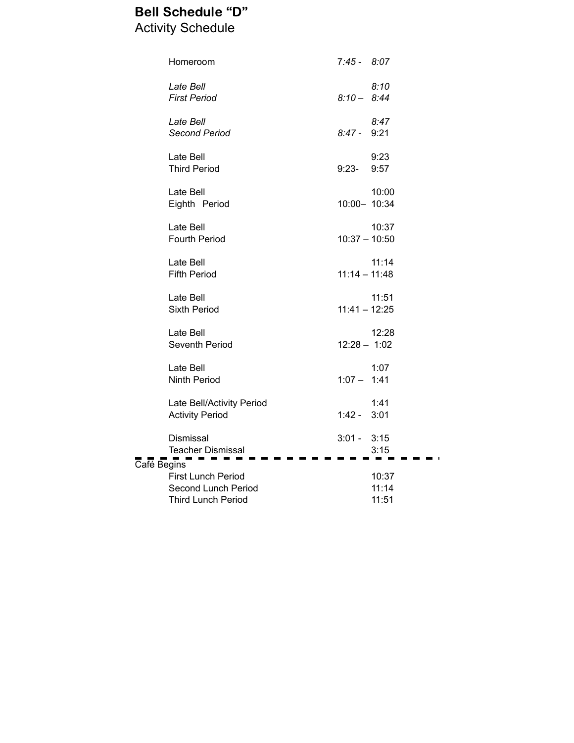# Bell Schedule "D" Activity Schedule

|             | Homeroom                                                                      | $7:45 - 8:07$   |                         |
|-------------|-------------------------------------------------------------------------------|-----------------|-------------------------|
|             | Late Bell<br><b>First Period</b>                                              | $8:10 - 8:44$   | 8:10                    |
|             | Late Bell<br><b>Second Period</b>                                             | 8:47 -          | 8:47<br>9:21            |
|             | Late Bell<br><b>Third Period</b>                                              | $9:23-$         | 9:23<br>9:57            |
|             | Late Bell<br>Eighth Period                                                    | 10:00- 10:34    | 10:00                   |
|             | Late Bell<br><b>Fourth Period</b>                                             | $10:37 - 10:50$ | 10:37                   |
|             | Late Bell<br><b>Fifth Period</b>                                              | $11:14 - 11:48$ | 11:14                   |
|             | Late Bell<br><b>Sixth Period</b>                                              | $11:41 - 12:25$ | 11:51                   |
|             | Late Bell<br>Seventh Period                                                   | $12:28 - 1:02$  | 12:28                   |
|             | Late Bell<br><b>Ninth Period</b>                                              | $1:07 - 1:41$   | 1:07                    |
|             | Late Bell/Activity Period<br><b>Activity Period</b>                           | $1:42 - 3:01$   | 1:41                    |
|             | Dismissal<br><b>Teacher Dismissal</b>                                         | $3:01 - 3:15$   | 3:15                    |
| Café Begins | <b>First Lunch Period</b><br>Second Lunch Period<br><b>Third Lunch Period</b> |                 | 10:37<br>11:14<br>11:51 |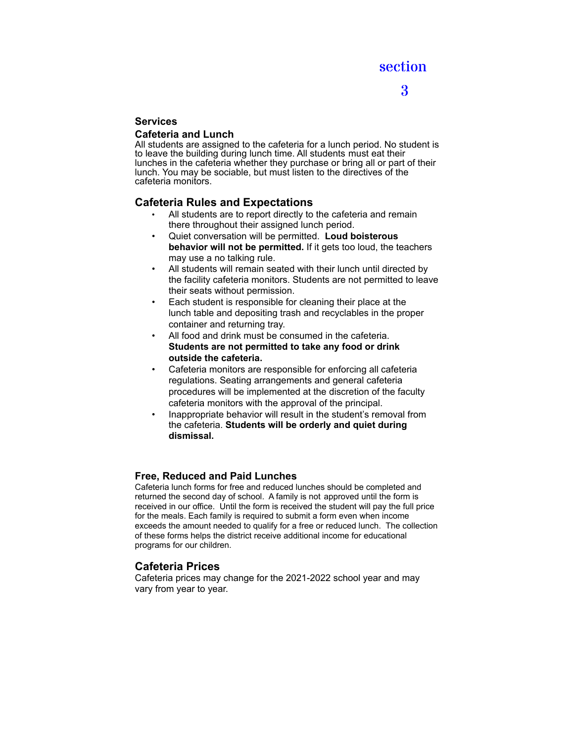# 3

# **Services**

### **Cafeteria and Lunch**

All students are assigned to the cafeteria for a lunch period. No student is to leave the building during lunch time. All students must eat their lunches in the cafeteria whether they purchase or bring all or part of their lunch. You may be sociable, but must listen to the directives of the cafeteria monitors.

# **Cafeteria Rules and Expectations**

- All students are to report directly to the cafeteria and remain there throughout their assigned lunch period.
- Quiet conversation will be permitted. **Loud boisterous behavior will not be permitted.** If it gets too loud, the teachers may use a no talking rule.
- All students will remain seated with their lunch until directed by the facility cafeteria monitors. Students are not permitted to leave their seats without permission.
- Each student is responsible for cleaning their place at the lunch table and depositing trash and recyclables in the proper container and returning tray.
- All food and drink must be consumed in the cafeteria. **Students are not permitted to take any food or drink outside the cafeteria.**
- Cafeteria monitors are responsible for enforcing all cafeteria regulations. Seating arrangements and general cafeteria procedures will be implemented at the discretion of the faculty cafeteria monitors with the approval of the principal.
- Inappropriate behavior will result in the student's removal from the cafeteria. **Students will be orderly and quiet during dismissal.**

# **Free, Reduced and Paid Lunches**

Cafeteria lunch forms for free and reduced lunches should be completed and returned the second day of school. A family is not approved until the form is received in our office. Until the form is received the student will pay the full price for the meals. Each family is required to submit a form even when income exceeds the amount needed to qualify for a free or reduced lunch. The collection of these forms helps the district receive additional income for educational programs for our children.

# **Cafeteria Prices**

Cafeteria prices may change for the 2021-2022 school year and may vary from year to year.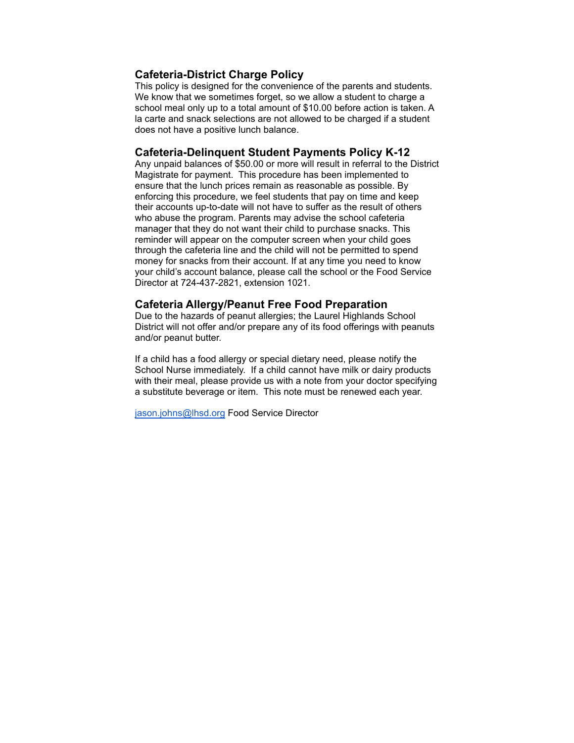# **Cafeteria-District Charge Policy**

This policy is designed for the convenience of the parents and students. We know that we sometimes forget, so we allow a student to charge a school meal only up to a total amount of \$10.00 before action is taken. A la carte and snack selections are not allowed to be charged if a student does not have a positive lunch balance.

### **Cafeteria-Delinquent Student Payments Policy K-12**

Any unpaid balances of \$50.00 or more will result in referral to the District Magistrate for payment. This procedure has been implemented to ensure that the lunch prices remain as reasonable as possible. By enforcing this procedure, we feel students that pay on time and keep their accounts up-to-date will not have to suffer as the result of others who abuse the program. Parents may advise the school cafeteria manager that they do not want their child to purchase snacks. This reminder will appear on the computer screen when your child goes through the cafeteria line and the child will not be permitted to spend money for snacks from their account. If at any time you need to know your child's account balance, please call the school or the Food Service Director at 724-437-2821, extension 1021.

### **Cafeteria Allergy/Peanut Free Food Preparation**

Due to the hazards of peanut allergies; the Laurel Highlands School District will not offer and/or prepare any of its food offerings with peanuts and/or peanut butter.

If a child has a food allergy or special dietary need, please notify the School Nurse immediately. If a child cannot have milk or dairy products with their meal, please provide us with a note from your doctor specifying a substitute beverage or item. This note must be renewed each year.

[jason.johns@lhsd.org](mailto:jason.johns@lhsd.org) Food Service Director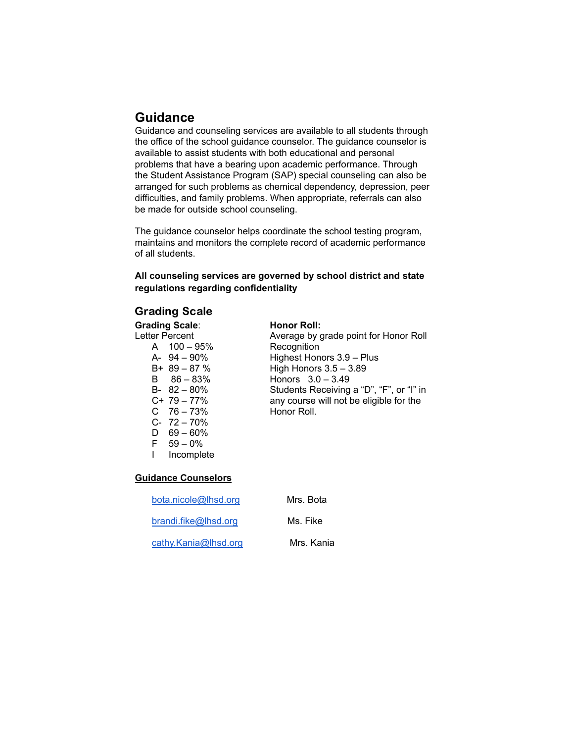# **Guidance**

Guidance and counseling services are available to all students through the office of the school guidance counselor. The guidance counselor is available to assist students with both educational and personal problems that have a bearing upon academic performance. Through the Student Assistance Program (SAP) special counseling can also be arranged for such problems as chemical dependency, depression, peer difficulties, and family problems. When appropriate, referrals can also be made for outside school counseling.

The guidance counselor helps coordinate the school testing program, maintains and monitors the complete record of academic performance of all students.

### **All counseling services are governed by school district and state regulations regarding confidentiality**

# Grading Scale

# **Grading Scale: Honor Roll:**<br>
Letter Percent **Average by g**

A 100 – 95% Recognition<br>
A- 94 – 90% Highest Hon C 76 – 73% Honor Roll. C- 72 – 70% D  $69 - 60\%$  $F = 59 - 0%$ <br>I Incomple Incomplete

Average by grade point for Honor Roll A- 94 – 90% Highest Honors 3.9 – Plus High Honors  $3.5 - 3.89$ B 86 – 83% Honors 3.0 – 3.49 B- 82 – 80% Students Receiving a "D", "F", or "I" in<br>C+ 79 – 77% any course will not be eligible for the any course will not be eligible for the

### **Guidance Counselors**

| bota.nicole@lhsd.org | Mrs. Bota  |
|----------------------|------------|
| brandi.fike@lhsd.org | Ms. Fike   |
| cathy.Kania@lhsd.org | Mrs. Kania |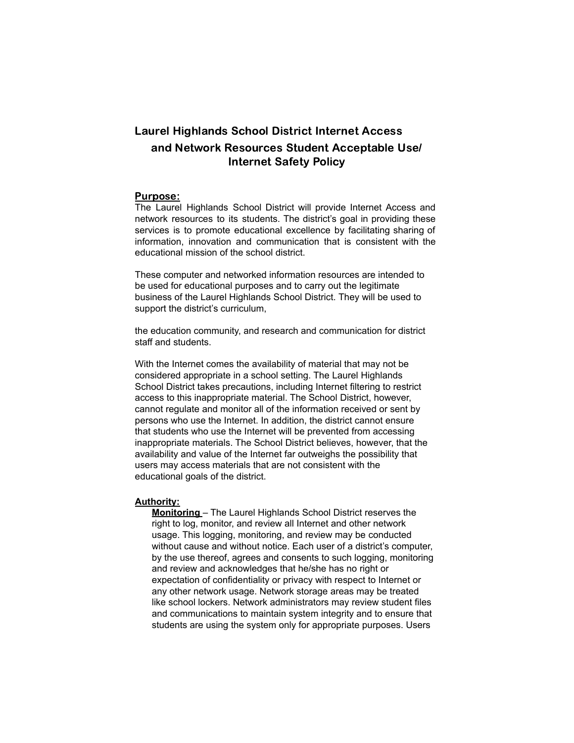# Laurel Highlands School District Internet Access and Network Resources Student Acceptable Use/ Internet Safety Policy

#### Purpose:

The Laurel Highlands School District will provide Internet Access and network resources to its students. The district's goal in providing these services is to promote educational excellence by facilitating sharing of information, innovation and communication that is consistent with the educational mission of the school district.

These computer and networked information resources are intended to be used for educational purposes and to carry out the legitimate business of the Laurel Highlands School District. They will be used to support the district's curriculum,

the education community, and research and communication for district staff and students.

With the Internet comes the availability of material that may not be considered appropriate in a school setting. The Laurel Highlands School District takes precautions, including Internet filtering to restrict access to this inappropriate material. The School District, however, cannot regulate and monitor all of the information received or sent by persons who use the Internet. In addition, the district cannot ensure that students who use the Internet will be prevented from accessing inappropriate materials. The School District believes, however, that the availability and value of the Internet far outweighs the possibility that users may access materials that are not consistent with the educational goals of the district.

#### **Authority:**

**Monitoring** – The Laurel Highlands School District reserves the right to log, monitor, and review all Internet and other network usage. This logging, monitoring, and review may be conducted without cause and without notice. Each user of a district's computer, by the use thereof, agrees and consents to such logging, monitoring and review and acknowledges that he/she has no right or expectation of confidentiality or privacy with respect to Internet or any other network usage. Network storage areas may be treated like school lockers. Network administrators may review student files and communications to maintain system integrity and to ensure that students are using the system only for appropriate purposes. Users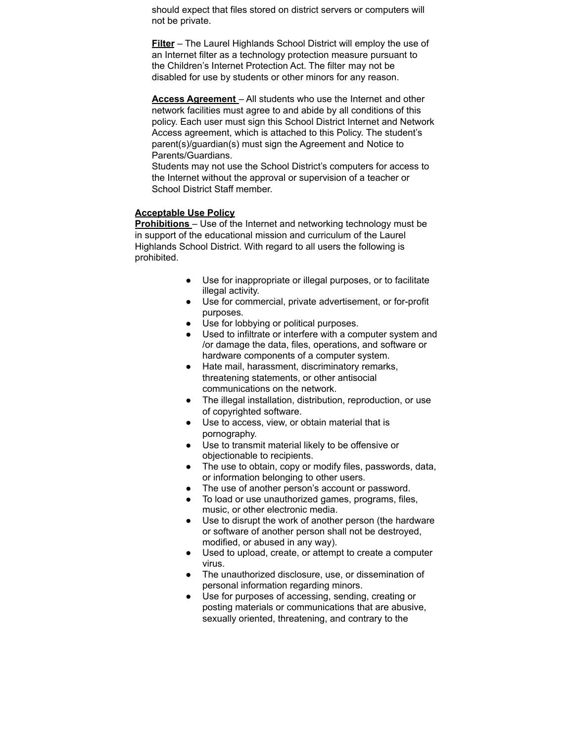should expect that files stored on district servers or computers will not be private.

**Filter** – The Laurel Highlands School District will employ the use of an Internet filter as a technology protection measure pursuant to the Children's Internet Protection Act. The filter may not be disabled for use by students or other minors for any reason.

**Access Agreement** – All students who use the Internet and other network facilities must agree to and abide by all conditions of this policy. Each user must sign this School District Internet and Network Access agreement, which is attached to this Policy. The student's parent(s)/guardian(s) must sign the Agreement and Notice to Parents/Guardians.

Students may not use the School District's computers for access to the Internet without the approval or supervision of a teacher or School District Staff member.

### **Acceptable Use Policy**

**Prohibitions** – Use of the Internet and networking technology must be in support of the educational mission and curriculum of the Laurel Highlands School District. With regard to all users the following is prohibited.

- Use for inappropriate or illegal purposes, or to facilitate illegal activity.
- Use for commercial, private advertisement, or for-profit purposes.
- Use for lobbying or political purposes.
- Used to infiltrate or interfere with a computer system and /or damage the data, files, operations, and software or hardware components of a computer system.
- Hate mail, harassment, discriminatory remarks, threatening statements, or other antisocial communications on the network.
- The illegal installation, distribution, reproduction, or use of copyrighted software.
- Use to access, view, or obtain material that is pornography.
- Use to transmit material likely to be offensive or objectionable to recipients.
- The use to obtain, copy or modify files, passwords, data, or information belonging to other users.
- The use of another person's account or password.
- To load or use unauthorized games, programs, files, music, or other electronic media.
- Use to disrupt the work of another person (the hardware or software of another person shall not be destroyed, modified, or abused in any way).
- Used to upload, create, or attempt to create a computer virus.
- The unauthorized disclosure, use, or dissemination of personal information regarding minors.
- Use for purposes of accessing, sending, creating or posting materials or communications that are abusive, sexually oriented, threatening, and contrary to the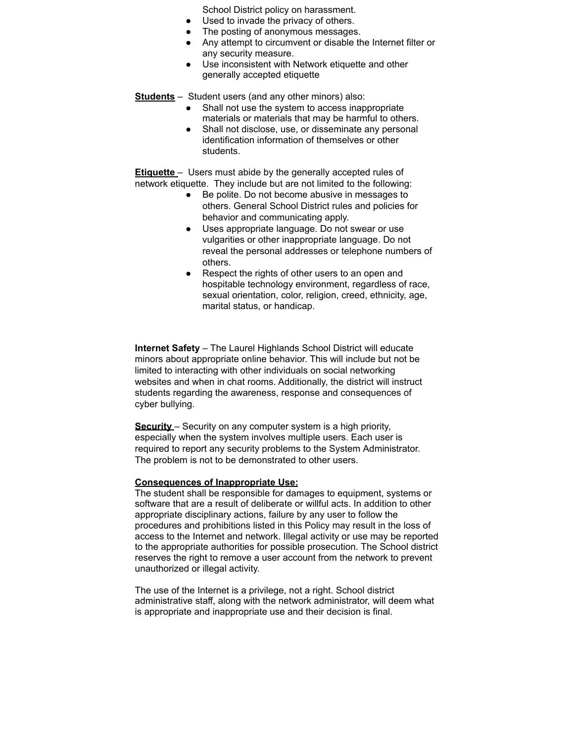School District policy on harassment.

- Used to invade the privacy of others.
- The posting of anonymous messages.
- Any attempt to circumvent or disable the Internet filter or any security measure.
- Use inconsistent with Network etiquette and other generally accepted etiquette

**Students** – Student users (and any other minors) also:

- Shall not use the system to access inappropriate materials or materials that may be harmful to others.
- Shall not disclose, use, or disseminate any personal identification information of themselves or other students.

**Etiquette** – Users must abide by the generally accepted rules of network etiquette. They include but are not limited to the following:

- Be polite. Do not become abusive in messages to others. General School District rules and policies for behavior and communicating apply.
- Uses appropriate language. Do not swear or use vulgarities or other inappropriate language. Do not reveal the personal addresses or telephone numbers of others.
- Respect the rights of other users to an open and hospitable technology environment, regardless of race, sexual orientation, color, religion, creed, ethnicity, age, marital status, or handicap.

**Internet Safety** – The Laurel Highlands School District will educate minors about appropriate online behavior. This will include but not be limited to interacting with other individuals on social networking websites and when in chat rooms. Additionally, the district will instruct students regarding the awareness, response and consequences of cyber bullying.

**Security** – Security on any computer system is a high priority, especially when the system involves multiple users. Each user is required to report any security problems to the System Administrator. The problem is not to be demonstrated to other users.

#### **Consequences of Inappropriate Use:**

The student shall be responsible for damages to equipment, systems or software that are a result of deliberate or willful acts. In addition to other appropriate disciplinary actions, failure by any user to follow the procedures and prohibitions listed in this Policy may result in the loss of access to the Internet and network. Illegal activity or use may be reported to the appropriate authorities for possible prosecution. The School district reserves the right to remove a user account from the network to prevent unauthorized or illegal activity.

The use of the Internet is a privilege, not a right. School district administrative staff, along with the network administrator, will deem what is appropriate and inappropriate use and their decision is final.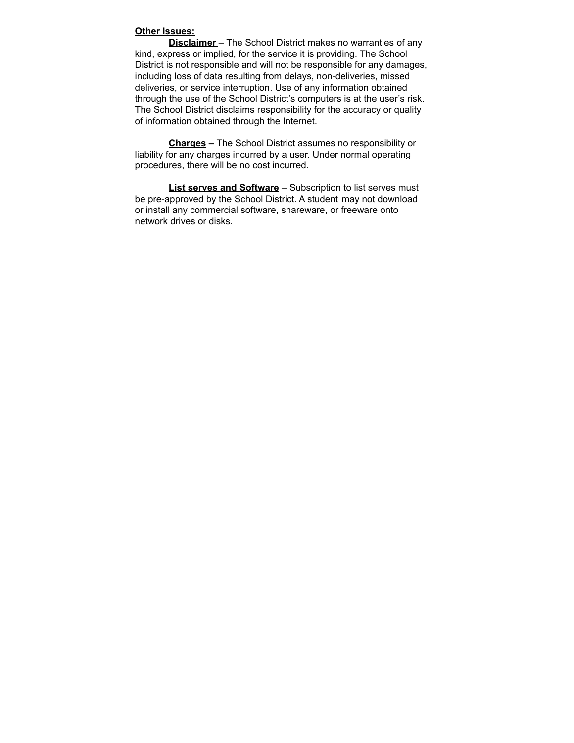#### **Other Issues:**

**Disclaimer** – The School District makes no warranties of any kind, express or implied, for the service it is providing. The School District is not responsible and will not be responsible for any damages, including loss of data resulting from delays, non-deliveries, missed deliveries, or service interruption. Use of any information obtained through the use of the School District's computers is at the user's risk. The School District disclaims responsibility for the accuracy or quality of information obtained through the Internet.

**Charges –** The School District assumes no responsibility or liability for any charges incurred by a user. Under normal operating procedures, there will be no cost incurred.

**List serves and Software** – Subscription to list serves must be pre-approved by the School District. A student may not download or install any commercial software, shareware, or freeware onto network drives or disks.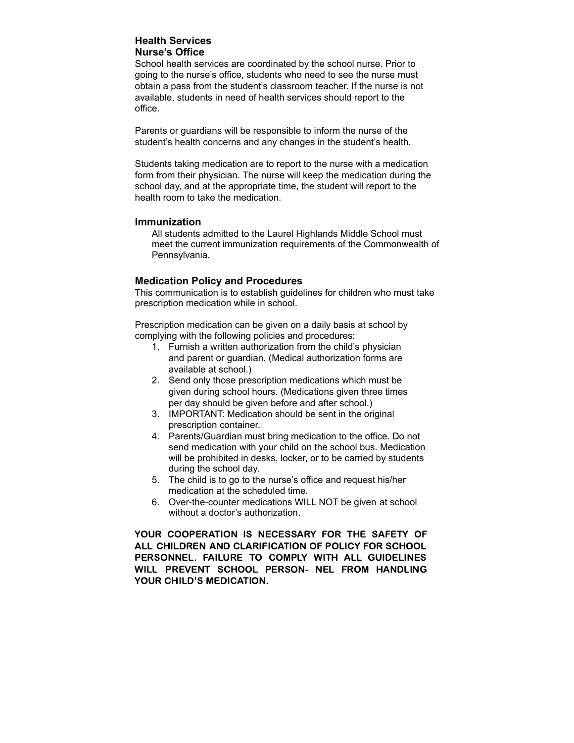### **Health Services Nurse's Office**

School health services are coordinated by the school nurse. Prior to going to the nurse's office, students who need to see the nurse must obtain a pass from the student's classroom teacher. If the nurse is not available, students in need of health services should report to the office.

Parents or guardians will be responsible to inform the nurse of the student's health concerns and any changes in the student's health.

Students taking medication are to report to the nurse with a medication form from their physician. The nurse will keep the medication during the school day, and at the appropriate time, the student will report to the health room to take the medication.

#### **Immunization**

All students admitted to the Laurel Highlands Middle School must meet the current immunization requirements of the Commonwealth of Pennsylvania.

#### **Medication Policy and Procedures**

This communication is to establish guidelines for children who must take prescription medication while in school.

Prescription medication can be given on a daily basis at school by complying with the following policies and procedures:

- 1. Furnish a written authorization from the child's physician and parent or guardian. (Medical authorization forms are available at school.)
- 2. Send only those prescription medications which must be given during school hours. (Medications given three times per day should be given before and after school.)
- 3. IMPORTANT: Medication should be sent in the original prescription container.
- 4. Parents/Guardian must bring medication to the office. Do not send medication with your child on the school bus. Medication will be prohibited in desks, locker, or to be carried by students during the school day.
- 5. The child is to go to the nurse's office and request his/her medication at the scheduled time.
- 6. Over-the-counter medications WILL NOT be given at school without a doctor's authorization.

YOUR COOPERATION IS NECESSARY FOR THE SAFETY OF ALL CHILDREN AND CLARIFICATION OF POLICY FOR SCHOOL PERSONNEL. FAILURE TO COMPLY WITH ALL GUIDELINES WILL PREVENT SCHOOL PERSON- NEL FROM HANDLING YOUR CHILD'S MEDICATION.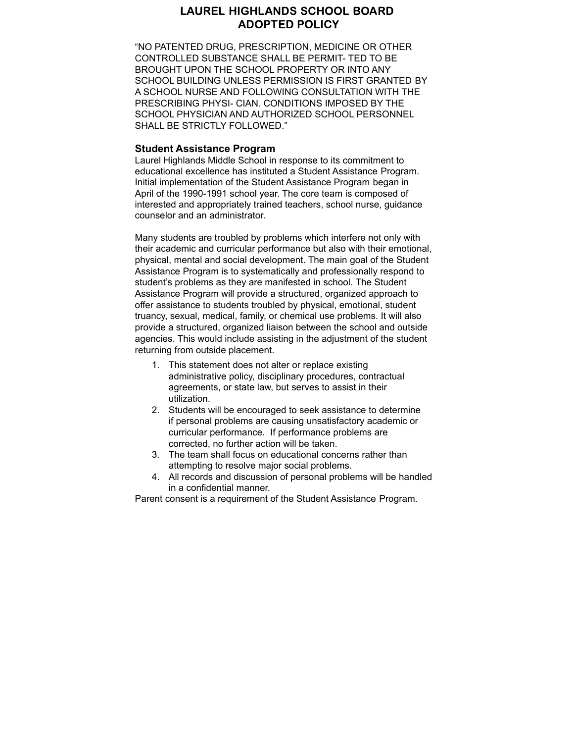# LAUREL HIGHLANDS SCHOOL BOARD ADOPTED POLICY

"NO PATENTED DRUG, PRESCRIPTION, MEDICINE OR OTHER CONTROLLED SUBSTANCE SHALL BE PERMIT- TED TO BE BROUGHT UPON THE SCHOOL PROPERTY OR INTO ANY SCHOOL BUILDING UNLESS PERMISSION IS FIRST GRANTED BY A SCHOOL NURSE AND FOLLOWING CONSULTATION WITH THE PRESCRIBING PHYSI- CIAN. CONDITIONS IMPOSED BY THE SCHOOL PHYSICIAN AND AUTHORIZED SCHOOL PERSONNEL SHALL BE STRICTLY FOLLOWED."

#### **Student Assistance Program**

Laurel Highlands Middle School in response to its commitment to educational excellence has instituted a Student Assistance Program. Initial implementation of the Student Assistance Program began in April of the 1990-1991 school year. The core team is composed of interested and appropriately trained teachers, school nurse, guidance counselor and an administrator.

Many students are troubled by problems which interfere not only with their academic and curricular performance but also with their emotional, physical, mental and social development. The main goal of the Student Assistance Program is to systematically and professionally respond to student's problems as they are manifested in school. The Student Assistance Program will provide a structured, organized approach to offer assistance to students troubled by physical, emotional, student truancy, sexual, medical, family, or chemical use problems. It will also provide a structured, organized liaison between the school and outside agencies. This would include assisting in the adjustment of the student returning from outside placement.

- 1. This statement does not alter or replace existing administrative policy, disciplinary procedures, contractual agreements, or state law, but serves to assist in their utilization.
- 2. Students will be encouraged to seek assistance to determine if personal problems are causing unsatisfactory academic or curricular performance. If performance problems are corrected, no further action will be taken.
- 3. The team shall focus on educational concerns rather than attempting to resolve major social problems.
- 4. All records and discussion of personal problems will be handled in a confidential manner.

Parent consent is a requirement of the Student Assistance Program.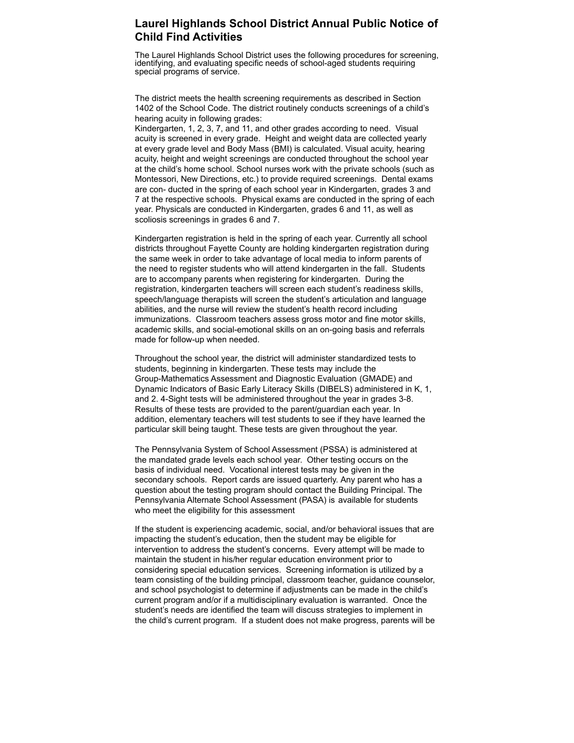# **Laurel Highlands School District Annual Public Notice of Child Find Activities**

The Laurel Highlands School District uses the following procedures for screening, identifying, and evaluating specific needs of school-aged students requiring special programs of service.

The district meets the health screening requirements as described in Section 1402 of the School Code. The district routinely conducts screenings of a child's hearing acuity in following grades:

Kindergarten, 1, 2, 3, 7, and 11, and other grades according to need. Visual acuity is screened in every grade. Height and weight data are collected yearly at every grade level and Body Mass (BMI) is calculated. Visual acuity, hearing acuity, height and weight screenings are conducted throughout the school year at the child's home school. School nurses work with the private schools (such as Montessori, New Directions, etc.) to provide required screenings. Dental exams are con- ducted in the spring of each school year in Kindergarten, grades 3 and 7 at the respective schools. Physical exams are conducted in the spring of each year. Physicals are conducted in Kindergarten, grades 6 and 11, as well as scoliosis screenings in grades 6 and 7.

Kindergarten registration is held in the spring of each year. Currently all school districts throughout Fayette County are holding kindergarten registration during the same week in order to take advantage of local media to inform parents of the need to register students who will attend kindergarten in the fall. Students are to accompany parents when registering for kindergarten. During the registration, kindergarten teachers will screen each student's readiness skills, speech/language therapists will screen the student's articulation and language abilities, and the nurse will review the student's health record including immunizations. Classroom teachers assess gross motor and fine motor skills, academic skills, and social-emotional skills on an on-going basis and referrals made for follow-up when needed.

Throughout the school year, the district will administer standardized tests to students, beginning in kindergarten. These tests may include the Group-Mathematics Assessment and Diagnostic Evaluation (GMADE) and Dynamic Indicators of Basic Early Literacy Skills (DIBELS) administered in K, 1, and 2. 4-Sight tests will be administered throughout the year in grades 3-8. Results of these tests are provided to the parent/guardian each year. In addition, elementary teachers will test students to see if they have learned the particular skill being taught. These tests are given throughout the year.

The Pennsylvania System of School Assessment (PSSA) is administered at the mandated grade levels each school year. Other testing occurs on the basis of individual need. Vocational interest tests may be given in the secondary schools. Report cards are issued quarterly. Any parent who has a question about the testing program should contact the Building Principal. The Pennsylvania Alternate School Assessment (PASA) is available for students who meet the eligibility for this assessment

If the student is experiencing academic, social, and/or behavioral issues that are impacting the student's education, then the student may be eligible for intervention to address the student's concerns. Every attempt will be made to maintain the student in his/her regular education environment prior to considering special education services. Screening information is utilized by a team consisting of the building principal, classroom teacher, guidance counselor, and school psychologist to determine if adjustments can be made in the child's current program and/or if a multidisciplinary evaluation is warranted. Once the student's needs are identified the team will discuss strategies to implement in the child's current program. If a student does not make progress, parents will be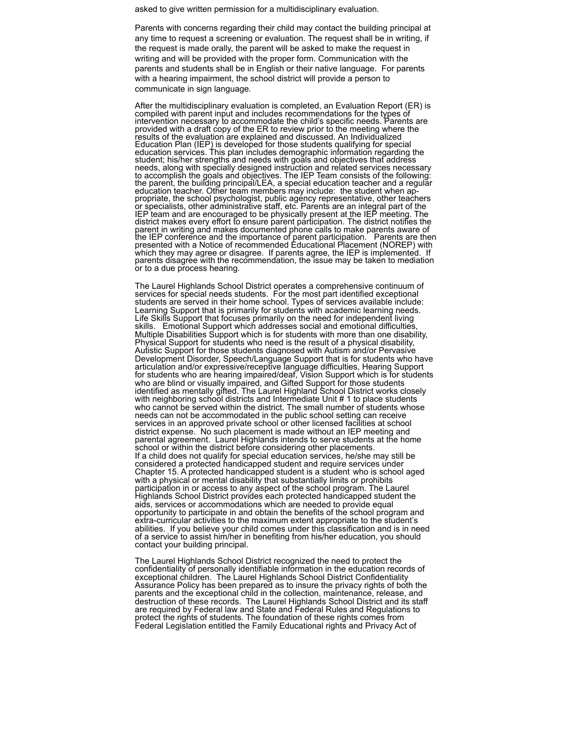asked to give written permission for a multidisciplinary evaluation.

Parents with concerns regarding their child may contact the building principal at any time to request a screening or evaluation. The request shall be in writing, if the request is made orally, the parent will be asked to make the request in writing and will be provided with the proper form. Communication with the parents and students shall be in English or their native language. For parents with a hearing impairment, the school district will provide a person to communicate in sign language.

After the multidisciplinary evaluation is completed, an Evaluation Report (ER) is compiled with parent input and includes recommendations for the types of intervention necessary to accommodate the child's specific needs. Parents are provided with a draft copy of the ER to review prior to the meeting where the results of the evaluation are explained and discussed. An Individualized Education Plan (IEP) is developed for those students qualifying for special education services. This plan includes demographic information regarding the student; his/her strengths and needs with goals and objectives that address needs, along with specially designed instruction and related services necessary to accomplish the goals and objectives. The IEP Team consists of the following: the parent, the building principal/LEA, a special education teacher and a regular education teacher. Other team members may include: the student when appropriate, the school psychologist, public agency representative, other teachers or specialists, other administrative staff, etc. Parents are an integral part of the IEP team and are encouraged to be physically present at the IEP meeting. The district makes every effort to ensure parent participation. The district notifies the parent in writing and makes documented phone calls to make parents aware of the IEP conference and the importance of parent participation. Parents are then presented with a Notice of recommended Educational Placement (NOREP) with which they may agree or disagree. If parents agree, the IEP is implemented. If parents disagree with the recommendation, the issue may be taken to mediation or to a due process hearing.

The Laurel Highlands School District operates a comprehensive continuum of services for special needs students. For the most part identified exceptional students are served in their home school. Types of services available include: Learning Support that is primarily for students with academic learning needs. Life Skills Support that focuses primarily on the need for independent living skills. Emotional Support which addresses social and emotional difficulties, Multiple Disabilities Support which is for students with more than one disability, Physical Support for students who need is the result of a physical disability, Autistic Support for those students diagnosed with Autism and/or Pervasive Development Disorder, Speech/Language Support that is for students who have articulation and/or expressive/receptive language difficulties, Hearing Support for students who are hearing impaired/deaf, Vision Support which is for students who are blind or visually impaired, and Gifted Support for those students identified as mentally gifted. The Laurel Highland School District works closely with neighboring school districts and Intermediate Unit # 1 to place students who cannot be served within the district. The small number of students whose needs can not be accommodated in the public school setting can receive services in an approved private school or other licensed facilities at school district expense. No such placement is made without an IEP meeting and parental agreement. Laurel Highlands intends to serve students at the home school or within the district before considering other placements. If a child does not qualify for special education services, he/she may still be considered a protected handicapped student and require services under Chapter 15. A protected handicapped student is a student who is school aged with a physical or mental disability that substantially limits or prohibits participation in or access to any aspect of the school program. The Laurel Highlands School District provides each protected handicapped student the aids, services or accommodations which are needed to provide equal opportunity to participate in and obtain the benefits of the school program and extra-curricular activities to the maximum extent appropriate to the student's abilities. If you believe your child comes under this classification and is in need of a service to assist him/her in benefiting from his/her education, you should contact your building principal.

The Laurel Highlands School District recognized the need to protect the confidentiality of personally identifiable information in the education records of exceptional children. The Laurel Highlands School District Confidentiality Assurance Policy has been prepared as to insure the privacy rights of both the parents and the exceptional child in the collection, maintenance, release, and destruction of these records. The Laurel Highlands School District and its staff are required by Federal law and State and Federal Rules and Regulations to protect the rights of students. The foundation of these rights comes from Federal Legislation entitled the Family Educational rights and Privacy Act of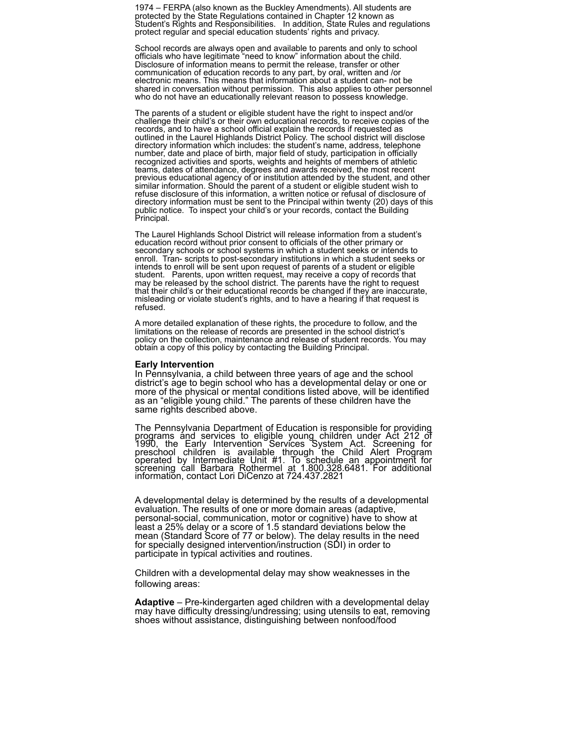1974 – FERPA (also known as the Buckley Amendments). All students are protected by the State Regulations contained in Chapter 12 known as Student's Rights and Responsibilities. In addition, State Rules and regulations protect regular and special education students' rights and privacy.

School records are always open and available to parents and only to school officials who have legitimate "need to know" information about the child. Disclosure of information means to permit the release, transfer or other communication of education records to any part, by oral, written and /or electronic means. This means that information about a student can- not be shared in conversation without permission. This also applies to other personnel who do not have an educationally relevant reason to possess knowledge.

The parents of a student or eligible student have the right to inspect and/or challenge their child's or their own educational records, to receive copies of the records, and to have a school official explain the records if requested as outlined in the Laurel Highlands District Policy. The school district will disclose directory information which includes: the student's name, address, telephone number, date and place of birth, major field of study, participation in officially recognized activities and sports, weights and heights of members of athletic teams, dates of attendance, degrees and awards received, the most recent previous educational agency of or institution attended by the student, and other similar information. Should the parent of a student or eligible student wish to refuse disclosure of this information, a written notice or refusal of disclosure of directory information must be sent to the Principal within twenty (20) days of this public notice. To inspect your child's or your records, contact the Building Principal.

The Laurel Highlands School District will release information from a student's education record without prior consent to officials of the other primary or secondary schools or school systems in which a student seeks or intends to enroll. Tran- scripts to post-secondary institutions in which a student seeks or intends to enroll will be sent upon request of parents of a student or eligible student. Parents, upon written request, may receive a copy of records that may be released by the school district. The parents have the right to request that their child's or their educational records be changed if they are inaccurate, misleading or violate student's rights, and to have a hearing if that request is refused.

A more detailed explanation of these rights, the procedure to follow, and the limitations on the release of records are presented in the school district's policy on the collection, maintenance and release of student records. You may obtain a copy of this policy by contacting the Building Principal.

#### **Early Intervention**

In Pennsylvania, a child between three years of age and the school district's age to begin school who has a developmental delay or one or more of the physical or mental conditions listed above, will be identified as an "eligible young child." The parents of these children have the same rights described above.

The Pennsylvania Department of Education is responsible for providing programs and services to eligible young children under Act 212 of 1990, the Early Intervention Services System Act. Screening for preschool children is available through the Child Alert Program operated by Intermediate Unit #1. To schedule an appointment for screening call Barbara Rothermel at 1.800.328.6481. For additional information, contact Lori DiCenzo at 724.437.2821

A developmental delay is determined by the results of a developmental evaluation. The results of one or more domain areas (adaptive, personal-social, communication, motor or cognitive) have to show at least a 25% delay or a score of 1.5 standard deviations below the mean (Standard Score of 77 or below). The delay results in the need for specially designed intervention/instruction (SDI) in order to participate in typical activities and routines.

Children with a developmental delay may show weaknesses in the following areas:

**Adaptive** – Pre-kindergarten aged children with a developmental delay may have difficulty dressing/undressing; using utensils to eat, removing shoes without assistance, distinguishing between nonfood/food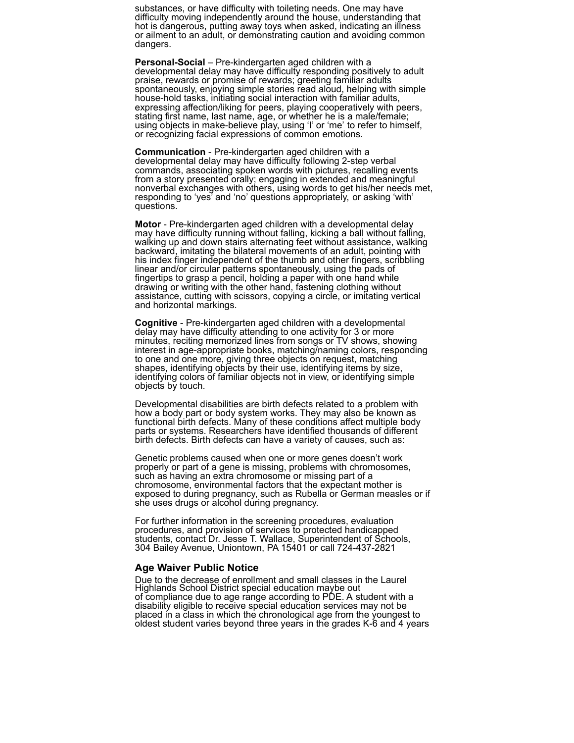substances, or have difficulty with toileting needs. One may have difficulty moving independently around the house, understanding that hot is dangerous, putting away toys when asked, indicating an illness or ailment to an adult, or demonstrating caution and avoiding common dangers.

**Personal-Social** – Pre-kindergarten aged children with a developmental delay may have difficulty responding positively to adult praise, rewards or promise of rewards; greeting familiar adults spontaneously, enjoying simple stories read aloud, helping with simple house-hold tasks, initiating social interaction with familiar adults, expressing affection/liking for peers, playing cooperatively with peers, stating first name, last name, age, or whether he is a male/female; using objects in make-believe play, using 'I' or 'me' to refer to himself, or recognizing facial expressions of common emotions.

**Communication** - Pre-kindergarten aged children with a developmental delay may have difficulty following 2-step verbal commands, associating spoken words with pictures, recalling events from a story presented orally; engaging in extended and meaningful nonverbal exchanges with others, using words to get his/her needs met, responding to 'yes' and 'no' questions appropriately, or asking 'with' questions.

**Motor** - Pre-kindergarten aged children with a developmental delay may have difficulty running without falling, kicking a ball without falling, walking up and down stairs alternating feet without assistance, walking backward, imitating the bilateral movements of an adult, pointing with his index finger independent of the thumb and other fingers, scribbling linear and/or circular patterns spontaneously, using the pads of fingertips to grasp a pencil, holding a paper with one hand while drawing or writing with the other hand, fastening clothing without assistance, cutting with scissors, copying a circle, or imitating vertical and horizontal markings.

**Cognitive** - Pre-kindergarten aged children with a developmental delay may have difficulty attending to one activity for 3 or more minutes, reciting memorized lines from songs or TV shows, showing interest in age-appropriate books, matching/naming colors, responding to one and one more, giving three objects on request, matching shapes, identifying objects by their use, identifying items by size, identifying colors of familiar objects not in view, or identifying simple objects by touch.

Developmental disabilities are birth defects related to a problem with how a body part or body system works. They may also be known as functional birth defects. Many of these conditions affect multiple body parts or systems. Researchers have identified thousands of different birth defects. Birth defects can have a variety of causes, such as:

Genetic problems caused when one or more genes doesn't work properly or part of a gene is missing, problems with chromosomes, such as having an extra chromosome or missing part of a chromosome, environmental factors that the expectant mother is exposed to during pregnancy, such as Rubella or German measles or if she uses drugs or alcohol during pregnancy.

For further information in the screening procedures, evaluation procedures, and provision of services to protected handicapped students, contact Dr. Jesse T. Wallace, Superintendent of Schools, 304 Bailey Avenue, Uniontown, PA 15401 or call 724-437-2821

#### **Age Waiver Public Notice**

Due to the decrease of enrollment and small classes in the Laurel Highlands School District special education maybe out of compliance due to age range according to PDE. A student with a disability eligible to receive special education services may not be placed in a class in which the chronological age from the youngest to oldest student varies beyond three years in the grades K-6 and 4 years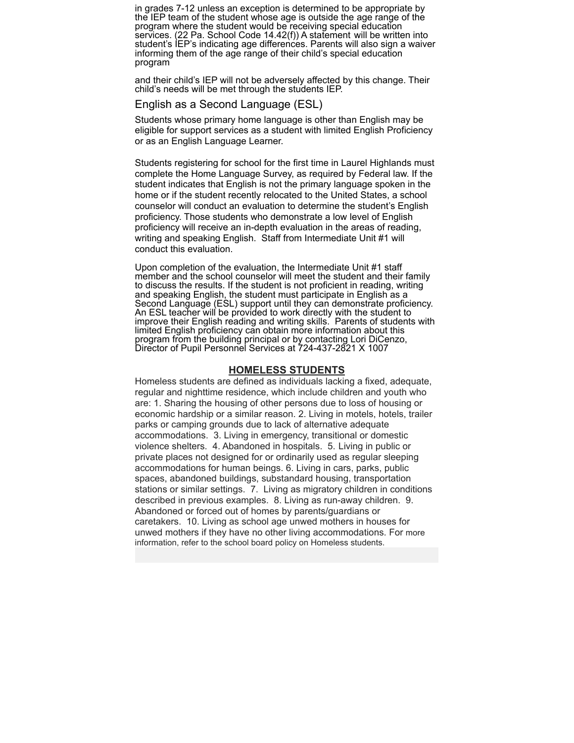in grades 7-12 unless an exception is determined to be appropriate by the IEP team of the student whose age is outside the age range of the program where the student would be receiving special education services. (22 Pa. School Code 14.42(f)) A statement will be written into student's IEP's indicating age differences. Parents will also sign a waiver informing them of the age range of their child's special education program

and their child's IEP will not be adversely affected by this change. Their child's needs will be met through the students IEP.

#### English as a Second Language (ESL)

Students whose primary home language is other than English may be eligible for support services as a student with limited English Proficiency or as an English Language Learner.

Students registering for school for the first time in Laurel Highlands must complete the Home Language Survey, as required by Federal law. If the student indicates that English is not the primary language spoken in the home or if the student recently relocated to the United States, a school counselor will conduct an evaluation to determine the student's English proficiency. Those students who demonstrate a low level of English proficiency will receive an in-depth evaluation in the areas of reading, writing and speaking English. Staff from Intermediate Unit #1 will conduct this evaluation.

Upon completion of the evaluation, the Intermediate Unit #1 staff member and the school counselor will meet the student and their family to discuss the results. If the student is not proficient in reading, writing and speaking English, the student must participate in English as a Second Language (ESL) support until they can demonstrate proficiency. An ESL teacher will be provided to work directly with the student to improve their English reading and writing skills. Parents of students with limited English proficiency can obtain more information about this program from the building principal or by contacting Lori DiCenzo, Director of Pupil Personnel Services at 724-437-2821 X 1007

#### **HOMELESS STUDENTS**

Homeless students are defined as individuals lacking a fixed, adequate, regular and nighttime residence, which include children and youth who are: 1. Sharing the housing of other persons due to loss of housing or economic hardship or a similar reason. 2. Living in motels, hotels, trailer parks or camping grounds due to lack of alternative adequate accommodations. 3. Living in emergency, transitional or domestic violence shelters. 4. Abandoned in hospitals. 5. Living in public or private places not designed for or ordinarily used as regular sleeping accommodations for human beings. 6. Living in cars, parks, public spaces, abandoned buildings, substandard housing, transportation stations or similar settings. 7. Living as migratory children in conditions described in previous examples. 8. Living as run-away children. 9. Abandoned or forced out of homes by parents/guardians or caretakers. 10. Living as school age unwed mothers in houses for unwed mothers if they have no other living accommodations. For more information, refer to the school board policy on Homeless students.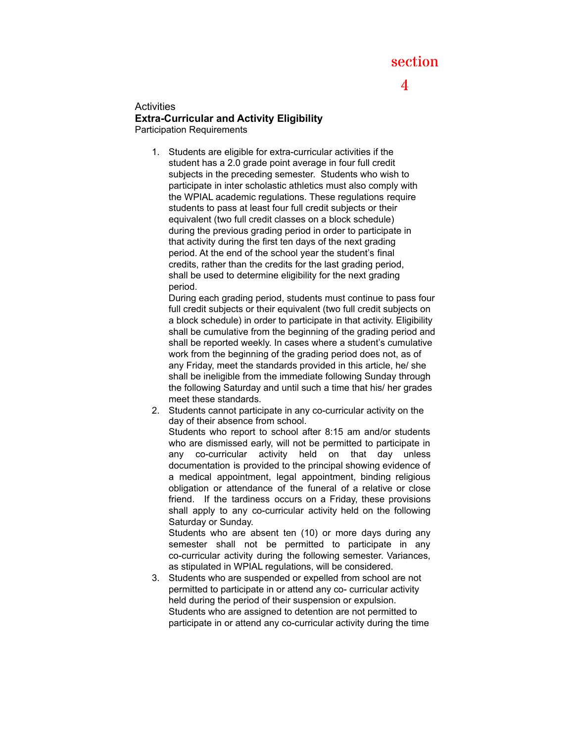# section

# 4

**Activities Extra-Curricular and Activity Eligibility** Participation Requirements

> 1. Students are eligible for extra-curricular activities if the student has a 2.0 grade point average in four full credit subjects in the preceding semester. Students who wish to participate in inter scholastic athletics must also comply with the WPIAL academic regulations. These regulations require students to pass at least four full credit subjects or their equivalent (two full credit classes on a block schedule) during the previous grading period in order to participate in that activity during the first ten days of the next grading period. At the end of the school year the student's final credits, rather than the credits for the last grading period, shall be used to determine eligibility for the next grading period.

During each grading period, students must continue to pass four full credit subjects or their equivalent (two full credit subjects on a block schedule) in order to participate in that activity. Eligibility shall be cumulative from the beginning of the grading period and shall be reported weekly. In cases where a student's cumulative work from the beginning of the grading period does not, as of any Friday, meet the standards provided in this article, he/ she shall be ineligible from the immediate following Sunday through the following Saturday and until such a time that his/ her grades meet these standards.

2. Students cannot participate in any co-curricular activity on the day of their absence from school.

Students who report to school after 8:15 am and/or students who are dismissed early, will not be permitted to participate in any co-curricular activity held on that day unless documentation is provided to the principal showing evidence of a medical appointment, legal appointment, binding religious obligation or attendance of the funeral of a relative or close friend. If the tardiness occurs on a Friday, these provisions shall apply to any co-curricular activity held on the following Saturday or Sunday.

Students who are absent ten (10) or more days during any semester shall not be permitted to participate in any co-curricular activity during the following semester. Variances, as stipulated in WPIAL regulations, will be considered.

3. Students who are suspended or expelled from school are not permitted to participate in or attend any co- curricular activity held during the period of their suspension or expulsion. Students who are assigned to detention are not permitted to participate in or attend any co-curricular activity during the time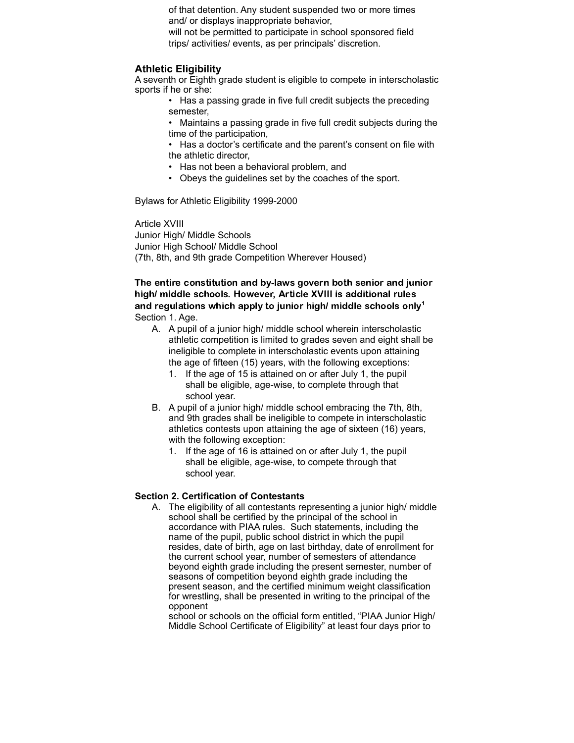of that detention. Any student suspended two or more times and/ or displays inappropriate behavior,

will not be permitted to participate in school sponsored field trips/ activities/ events, as per principals' discretion.

#### **Athletic Eligibility**

A seventh or Eighth grade student is eligible to compete in interscholastic sports if he or she:

- Has a passing grade in five full credit subjects the preceding semester,
- Maintains a passing grade in five full credit subjects during the time of the participation,
- Has a doctor's certificate and the parent's consent on file with the athletic director,
- Has not been a behavioral problem, and
- Obeys the guidelines set by the coaches of the sport.

Bylaws for Athletic Eligibility 1999-2000

Article XVIII Junior High/ Middle Schools Junior High School/ Middle School (7th, 8th, and 9th grade Competition Wherever Housed)

### The entire constitution and by-laws govern both senior and junior high/ middle schools. However, Article XVIII is additional rules and regulations which apply to junior high/ middle schools only<sup>1</sup> Section 1. Age.

- A. A pupil of a junior high/ middle school wherein interscholastic athletic competition is limited to grades seven and eight shall be ineligible to complete in interscholastic events upon attaining the age of fifteen (15) years, with the following exceptions:
	- 1. If the age of 15 is attained on or after July 1, the pupil shall be eligible, age-wise, to complete through that school year.
- B. A pupil of a junior high/ middle school embracing the 7th, 8th, and 9th grades shall be ineligible to compete in interscholastic athletics contests upon attaining the age of sixteen (16) years, with the following exception:
	- 1. If the age of 16 is attained on or after July 1, the pupil shall be eligible, age-wise, to compete through that school year.

#### **Section 2. Certification of Contestants**

A. The eligibility of all contestants representing a junior high/ middle school shall be certified by the principal of the school in accordance with PIAA rules. Such statements, including the name of the pupil, public school district in which the pupil resides, date of birth, age on last birthday, date of enrollment for the current school year, number of semesters of attendance beyond eighth grade including the present semester, number of seasons of competition beyond eighth grade including the present season, and the certified minimum weight classification for wrestling, shall be presented in writing to the principal of the opponent

school or schools on the official form entitled, "PIAA Junior High/ Middle School Certificate of Eligibility" at least four days prior to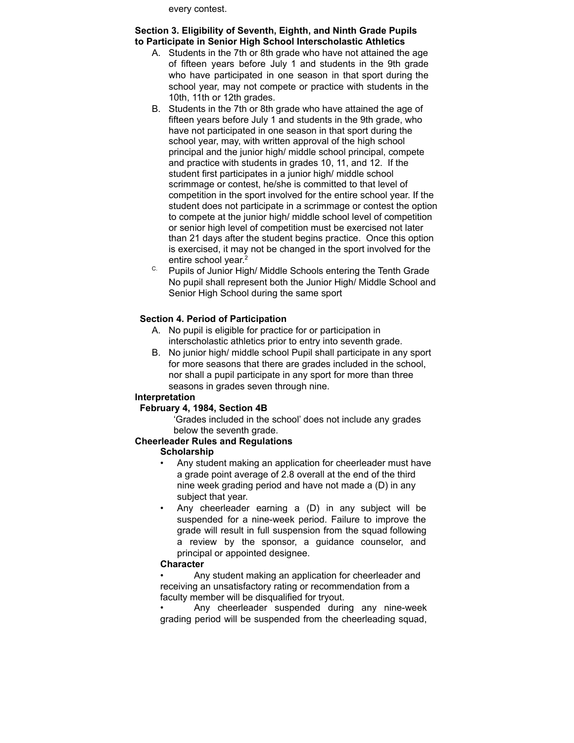every contest.

#### **Section 3. Eligibility of Seventh, Eighth, and Ninth Grade Pupils to Participate in Senior High School Interscholastic Athletics**

- A. Students in the 7th or 8th grade who have not attained the age of fifteen years before July 1 and students in the 9th grade who have participated in one season in that sport during the school year, may not compete or practice with students in the 10th, 11th or 12th grades.
- B. Students in the 7th or 8th grade who have attained the age of fifteen years before July 1 and students in the 9th grade, who have not participated in one season in that sport during the school year, may, with written approval of the high school principal and the junior high/ middle school principal, compete and practice with students in grades 10, 11, and 12. If the student first participates in a junior high/ middle school scrimmage or contest, he/she is committed to that level of competition in the sport involved for the entire school year. If the student does not participate in a scrimmage or contest the option to compete at the junior high/ middle school level of competition or senior high level of competition must be exercised not later than 21 days after the student begins practice. Once this option is exercised, it may not be changed in the sport involved for the entire school year. 2
- C. Pupils of Junior High/ Middle Schools entering the Tenth Grade No pupil shall represent both the Junior High/ Middle School and Senior High School during the same sport

# **Section 4. Period of Participation**

- A. No pupil is eligible for practice for or participation in interscholastic athletics prior to entry into seventh grade.
- B. No junior high/ middle school Pupil shall participate in any sport for more seasons that there are grades included in the school, nor shall a pupil participate in any sport for more than three seasons in grades seven through nine.

#### **Interpretation**

# **February 4, 1984, Section 4B**

'Grades included in the school' does not include any grades below the seventh grade.

# **Cheerleader Rules and Regulations**

#### **Scholarship**

- Any student making an application for cheerleader must have a grade point average of 2.8 overall at the end of the third nine week grading period and have not made a (D) in any subject that year.
- Any cheerleader earning a (D) in any subject will be suspended for a nine-week period. Failure to improve the grade will result in full suspension from the squad following a review by the sponsor, a guidance counselor, and principal or appointed designee.

#### **Character**

• Any student making an application for cheerleader and receiving an unsatisfactory rating or recommendation from a faculty member will be disqualified for tryout.

Any cheerleader suspended during any nine-week grading period will be suspended from the cheerleading squad,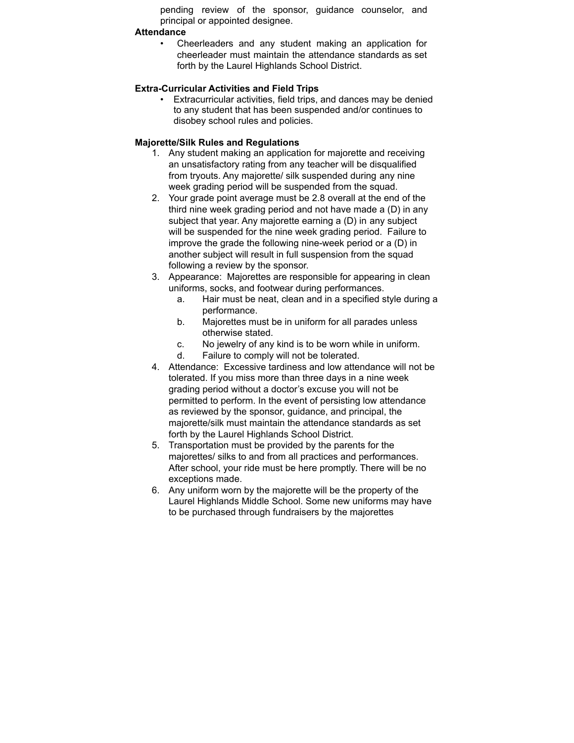pending review of the sponsor, guidance counselor, and principal or appointed designee.

#### **Attendance**

• Cheerleaders and any student making an application for cheerleader must maintain the attendance standards as set forth by the Laurel Highlands School District.

### **Extra-Curricular Activities and Field Trips**

• Extracurricular activities, field trips, and dances may be denied to any student that has been suspended and/or continues to disobey school rules and policies.

# **Majorette/Silk Rules and Regulations**

- 1. Any student making an application for majorette and receiving an unsatisfactory rating from any teacher will be disqualified from tryouts. Any majorette/ silk suspended during any nine week grading period will be suspended from the squad.
- 2. Your grade point average must be 2.8 overall at the end of the third nine week grading period and not have made a (D) in any subject that year. Any majorette earning a (D) in any subject will be suspended for the nine week grading period. Failure to improve the grade the following nine-week period or a (D) in another subject will result in full suspension from the squad following a review by the sponsor.
- 3. Appearance: Majorettes are responsible for appearing in clean uniforms, socks, and footwear during performances.
	- a. Hair must be neat, clean and in a specified style during a performance.
	- b. Majorettes must be in uniform for all parades unless otherwise stated.
	- c. No jewelry of any kind is to be worn while in uniform.
	- d. Failure to comply will not be tolerated.
- 4. Attendance: Excessive tardiness and low attendance will not be tolerated. If you miss more than three days in a nine week grading period without a doctor's excuse you will not be permitted to perform. In the event of persisting low attendance as reviewed by the sponsor, guidance, and principal, the majorette/silk must maintain the attendance standards as set forth by the Laurel Highlands School District.
- 5. Transportation must be provided by the parents for the majorettes/ silks to and from all practices and performances. After school, your ride must be here promptly. There will be no exceptions made.
- 6. Any uniform worn by the majorette will be the property of the Laurel Highlands Middle School. Some new uniforms may have to be purchased through fundraisers by the majorettes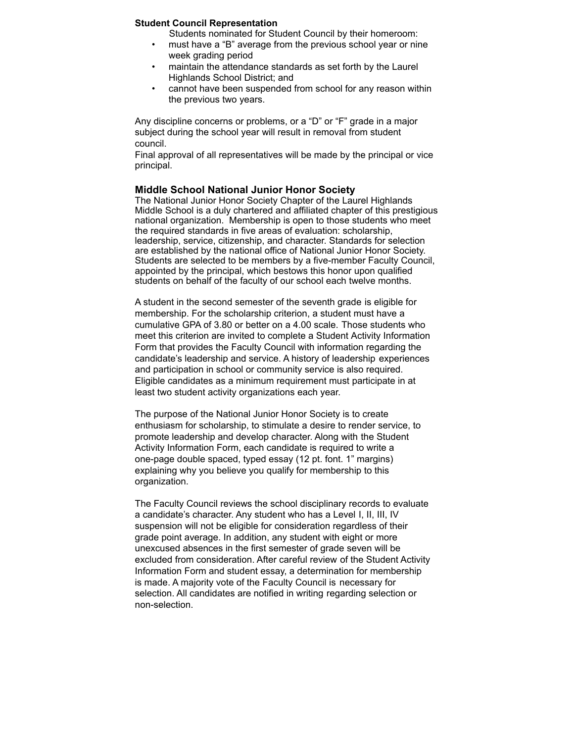#### **Student Council Representation**

Students nominated for Student Council by their homeroom:

- must have a "B" average from the previous school year or nine week grading period
- maintain the attendance standards as set forth by the Laurel Highlands School District; and
- cannot have been suspended from school for any reason within the previous two years.

Any discipline concerns or problems, or a "D" or "F" grade in a major subject during the school year will result in removal from student council.

Final approval of all representatives will be made by the principal or vice principal.

#### **Middle School National Junior Honor Society**

The National Junior Honor Society Chapter of the Laurel Highlands Middle School is a duly chartered and affiliated chapter of this prestigious national organization. Membership is open to those students who meet the required standards in five areas of evaluation: scholarship, leadership, service, citizenship, and character. Standards for selection are established by the national office of National Junior Honor Society. Students are selected to be members by a five-member Faculty Council, appointed by the principal, which bestows this honor upon qualified students on behalf of the faculty of our school each twelve months.

A student in the second semester of the seventh grade is eligible for membership. For the scholarship criterion, a student must have a cumulative GPA of 3.80 or better on a 4.00 scale. Those students who meet this criterion are invited to complete a Student Activity Information Form that provides the Faculty Council with information regarding the candidate's leadership and service. A history of leadership experiences and participation in school or community service is also required. Eligible candidates as a minimum requirement must participate in at least two student activity organizations each year.

The purpose of the National Junior Honor Society is to create enthusiasm for scholarship, to stimulate a desire to render service, to promote leadership and develop character. Along with the Student Activity Information Form, each candidate is required to write a one-page double spaced, typed essay (12 pt. font. 1" margins) explaining why you believe you qualify for membership to this organization.

The Faculty Council reviews the school disciplinary records to evaluate a candidate's character. Any student who has a Level I, II, III, IV suspension will not be eligible for consideration regardless of their grade point average. In addition, any student with eight or more unexcused absences in the first semester of grade seven will be excluded from consideration. After careful review of the Student Activity Information Form and student essay, a determination for membership is made. A majority vote of the Faculty Council is necessary for selection. All candidates are notified in writing regarding selection or non-selection.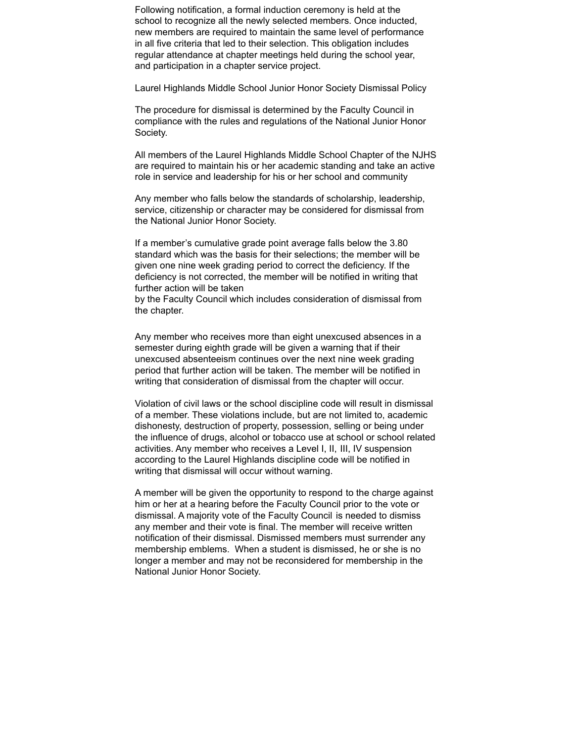Following notification, a formal induction ceremony is held at the school to recognize all the newly selected members. Once inducted, new members are required to maintain the same level of performance in all five criteria that led to their selection. This obligation includes regular attendance at chapter meetings held during the school year, and participation in a chapter service project.

Laurel Highlands Middle School Junior Honor Society Dismissal Policy

The procedure for dismissal is determined by the Faculty Council in compliance with the rules and regulations of the National Junior Honor Society.

All members of the Laurel Highlands Middle School Chapter of the NJHS are required to maintain his or her academic standing and take an active role in service and leadership for his or her school and community

Any member who falls below the standards of scholarship, leadership, service, citizenship or character may be considered for dismissal from the National Junior Honor Society.

If a member's cumulative grade point average falls below the 3.80 standard which was the basis for their selections; the member will be given one nine week grading period to correct the deficiency. If the deficiency is not corrected, the member will be notified in writing that further action will be taken

by the Faculty Council which includes consideration of dismissal from the chapter.

Any member who receives more than eight unexcused absences in a semester during eighth grade will be given a warning that if their unexcused absenteeism continues over the next nine week grading period that further action will be taken. The member will be notified in writing that consideration of dismissal from the chapter will occur.

Violation of civil laws or the school discipline code will result in dismissal of a member. These violations include, but are not limited to, academic dishonesty, destruction of property, possession, selling or being under the influence of drugs, alcohol or tobacco use at school or school related activities. Any member who receives a Level I, II, III, IV suspension according to the Laurel Highlands discipline code will be notified in writing that dismissal will occur without warning.

A member will be given the opportunity to respond to the charge against him or her at a hearing before the Faculty Council prior to the vote or dismissal. A majority vote of the Faculty Council is needed to dismiss any member and their vote is final. The member will receive written notification of their dismissal. Dismissed members must surrender any membership emblems. When a student is dismissed, he or she is no longer a member and may not be reconsidered for membership in the National Junior Honor Society.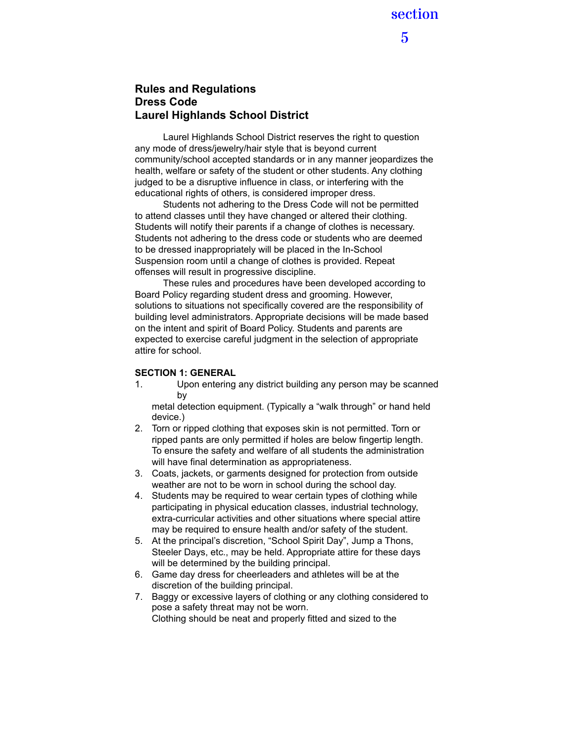5

# **Rules and Regulations Dress Code Laurel Highlands School District**

Laurel Highlands School District reserves the right to question any mode of dress/jewelry/hair style that is beyond current community/school accepted standards or in any manner jeopardizes the health, welfare or safety of the student or other students. Any clothing judged to be a disruptive influence in class, or interfering with the educational rights of others, is considered improper dress.

Students not adhering to the Dress Code will not be permitted to attend classes until they have changed or altered their clothing. Students will notify their parents if a change of clothes is necessary. Students not adhering to the dress code or students who are deemed to be dressed inappropriately will be placed in the In-School Suspension room until a change of clothes is provided. Repeat offenses will result in progressive discipline.

These rules and procedures have been developed according to Board Policy regarding student dress and grooming. However, solutions to situations not specifically covered are the responsibility of building level administrators. Appropriate decisions will be made based on the intent and spirit of Board Policy. Students and parents are expected to exercise careful judgment in the selection of appropriate attire for school.

#### **SECTION 1: GENERAL**

1. Upon entering any district building any person may be scanned by

metal detection equipment. (Typically a "walk through" or hand held device.)

- 2. Torn or ripped clothing that exposes skin is not permitted. Torn or ripped pants are only permitted if holes are below fingertip length. To ensure the safety and welfare of all students the administration will have final determination as appropriateness.
- 3. Coats, jackets, or garments designed for protection from outside weather are not to be worn in school during the school day.
- 4. Students may be required to wear certain types of clothing while participating in physical education classes, industrial technology, extra-curricular activities and other situations where special attire may be required to ensure health and/or safety of the student.
- 5. At the principal's discretion, "School Spirit Day", Jump a Thons, Steeler Days, etc., may be held. Appropriate attire for these days will be determined by the building principal.
- 6. Game day dress for cheerleaders and athletes will be at the discretion of the building principal.
- 7. Baggy or excessive layers of clothing or any clothing considered to pose a safety threat may not be worn. Clothing should be neat and properly fitted and sized to the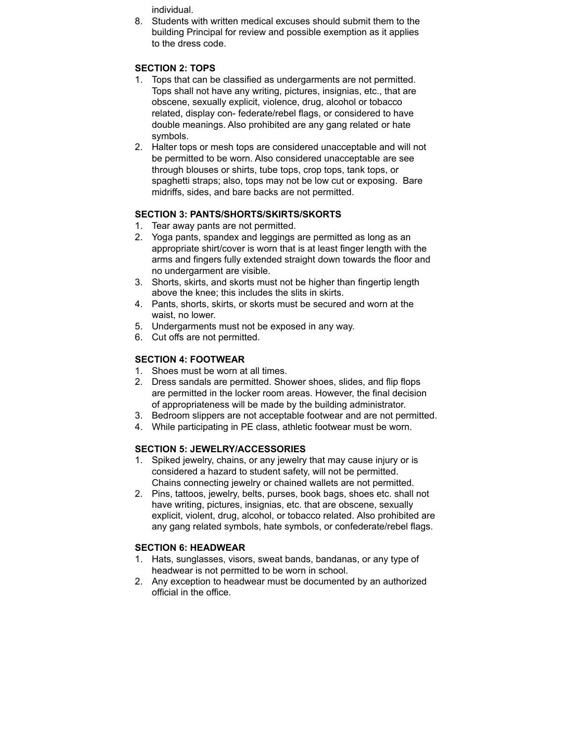individual.

8. Students with written medical excuses should submit them to the building Principal for review and possible exemption as it applies to the dress code.

# **SECTION 2: TOPS**

- 1. Tops that can be classified as undergarments are not permitted. Tops shall not have any writing, pictures, insignias, etc., that are obscene, sexually explicit, violence, drug, alcohol or tobacco related, display con- federate/rebel flags, or considered to have double meanings. Also prohibited are any gang related or hate symbols.
- 2. Halter tops or mesh tops are considered unacceptable and will not be permitted to be worn. Also considered unacceptable are see through blouses or shirts, tube tops, crop tops, tank tops, or spaghetti straps; also, tops may not be low cut or exposing. Bare midriffs, sides, and bare backs are not permitted.

# **SECTION 3: PANTS/SHORTS/SKIRTS/SKORTS**

- 1. Tear away pants are not permitted.
- 2. Yoga pants, spandex and leggings are permitted as long as an appropriate shirt/cover is worn that is at least finger length with the arms and fingers fully extended straight down towards the floor and no undergarment are visible.
- 3. Shorts, skirts, and skorts must not be higher than fingertip length above the knee; this includes the slits in skirts.
- 4. Pants, shorts, skirts, or skorts must be secured and worn at the waist, no lower.
- 5. Undergarments must not be exposed in any way.
- 6. Cut offs are not permitted.

# **SECTION 4: FOOTWEAR**

- 1. Shoes must be worn at all times.
- 2. Dress sandals are permitted. Shower shoes, slides, and flip flops are permitted in the locker room areas. However, the final decision of appropriateness will be made by the building administrator.
- 3. Bedroom slippers are not acceptable footwear and are not permitted.
- 4. While participating in PE class, athletic footwear must be worn.

# **SECTION 5: JEWELRY/ACCESSORIES**

- 1. Spiked jewelry, chains, or any jewelry that may cause injury or is considered a hazard to student safety, will not be permitted. Chains connecting jewelry or chained wallets are not permitted.
- 2. Pins, tattoos, jewelry, belts, purses, book bags, shoes etc. shall not have writing, pictures, insignias, etc. that are obscene, sexually explicit, violent, drug, alcohol, or tobacco related. Also prohibited are any gang related symbols, hate symbols, or confederate/rebel flags.

# **SECTION 6: HEADWEAR**

- 1. Hats, sunglasses, visors, sweat bands, bandanas, or any type of headwear is not permitted to be worn in school.
- 2. Any exception to headwear must be documented by an authorized official in the office.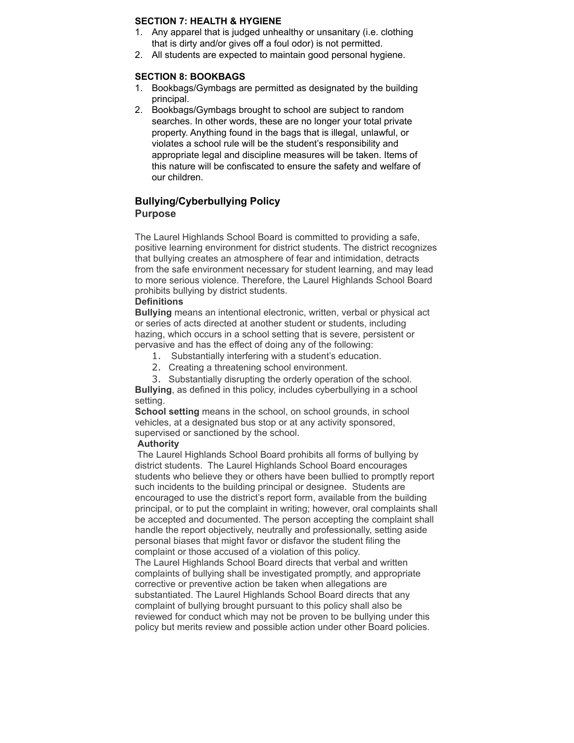#### **SECTION 7: HEALTH & HYGIENE**

- 1. Any apparel that is judged unhealthy or unsanitary (i.e. clothing that is dirty and/or gives off a foul odor) is not permitted.
- 2. All students are expected to maintain good personal hygiene.

#### **SECTION 8: BOOKBAGS**

- 1. Bookbags/Gymbags are permitted as designated by the building principal.
- 2. Bookbags/Gymbags brought to school are subject to random searches. In other words, these are no longer your total private property. Anything found in the bags that is illegal, unlawful, or violates a school rule will be the student's responsibility and appropriate legal and discipline measures will be taken. Items of this nature will be confiscated to ensure the safety and welfare of our children.

# **Bullying/Cyberbullying Policy Purpose**

The Laurel Highlands School Board is committed to providing a safe, positive learning environment for district students. The district recognizes that bullying creates an atmosphere of fear and intimidation, detracts from the safe environment necessary for student learning, and may lead to more serious violence. Therefore, the Laurel Highlands School Board prohibits bullying by district students.

#### **Definitions**

**Bullying** means an intentional electronic, written, verbal or physical act or series of acts directed at another student or students, including hazing, which occurs in a school setting that is severe, persistent or pervasive and has the effect of doing any of the following:

- 1. Substantially interfering with a student's education.
- 2. Creating a threatening school environment.
- 3. Substantially disrupting the orderly operation of the school.

**Bullying**, as defined in this policy, includes cyberbullying in a school setting.

**School setting** means in the school, on school grounds, in school vehicles, at a designated bus stop or at any activity sponsored, supervised or sanctioned by the school.

#### **Authority**

The Laurel Highlands School Board prohibits all forms of bullying by district students. The Laurel Highlands School Board encourages students who believe they or others have been bullied to promptly report such incidents to the building principal or designee. Students are encouraged to use the district's report form, available from the building principal, or to put the complaint in writing; however, oral complaints shall be accepted and documented. The person accepting the complaint shall handle the report objectively, neutrally and professionally, setting aside personal biases that might favor or disfavor the student filing the complaint or those accused of a violation of this policy. The Laurel Highlands School Board directs that verbal and written complaints of bullying shall be investigated promptly, and appropriate corrective or preventive action be taken when allegations are substantiated. The Laurel Highlands School Board directs that any complaint of bullying brought pursuant to this policy shall also be reviewed for conduct which may not be proven to be bullying under this

policy but merits review and possible action under other Board policies.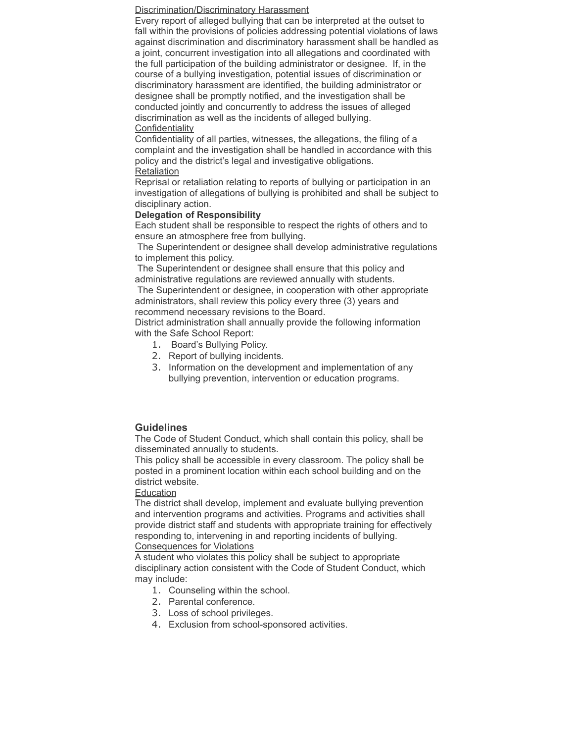#### Discrimination/Discriminatory Harassment

Every report of alleged bullying that can be interpreted at the outset to fall within the provisions of policies addressing potential violations of laws against discrimination and discriminatory harassment shall be handled as a joint, concurrent investigation into all allegations and coordinated with the full participation of the building administrator or designee. If, in the course of a bullying investigation, potential issues of discrimination or discriminatory harassment are identified, the building administrator or designee shall be promptly notified, and the investigation shall be conducted jointly and concurrently to address the issues of alleged discrimination as well as the incidents of alleged bullying. **Confidentiality** 

Confidentiality of all parties, witnesses, the allegations, the filing of a complaint and the investigation shall be handled in accordance with this policy and the district's legal and investigative obligations. Retaliation

Reprisal or retaliation relating to reports of bullying or participation in an investigation of allegations of bullying is prohibited and shall be subject to disciplinary action.

#### **Delegation of Responsibility**

Each student shall be responsible to respect the rights of others and to ensure an atmosphere free from bullying.

The Superintendent or designee shall develop administrative regulations to implement this policy.

The Superintendent or designee shall ensure that this policy and administrative regulations are reviewed annually with students.

The Superintendent or designee, in cooperation with other appropriate administrators, shall review this policy every three (3) years and recommend necessary revisions to the Board.

District administration shall annually provide the following information with the Safe School Report:

- 1. Board's Bullying Policy.
- 2. Report of bullying incidents.
- 3. Information on the development and implementation of any bullying prevention, intervention or education programs.

# **Guidelines**

The Code of Student Conduct, which shall contain this policy, shall be disseminated annually to students.

This policy shall be accessible in every classroom. The policy shall be posted in a prominent location within each school building and on the district website.

#### Education

The district shall develop, implement and evaluate bullying prevention and intervention programs and activities. Programs and activities shall provide district staff and students with appropriate training for effectively responding to, intervening in and reporting incidents of bullying. Consequences for Violations

A student who violates this policy shall be subject to appropriate disciplinary action consistent with the Code of Student Conduct, which may include:

- 1. Counseling within the school.
- 2. Parental conference.
- 3. Loss of school privileges.
- 4. Exclusion from school-sponsored activities.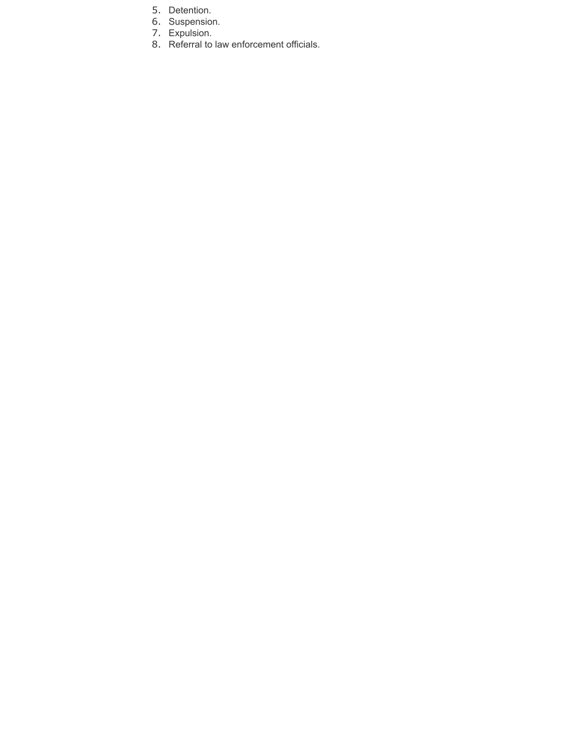- 5. Detention.
- 6. Suspension.
- 7. Expulsion.
- 8. Referral to law enforcement officials.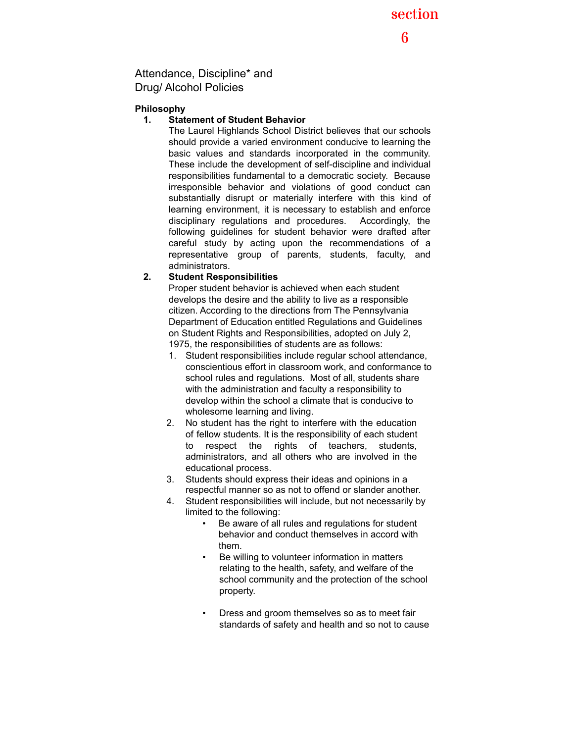section

6

Attendance, Discipline\* and Drug/ Alcohol Policies

### **Philosophy**

#### **1. Statement of Student Behavior**

The Laurel Highlands School District believes that our schools should provide a varied environment conducive to learning the basic values and standards incorporated in the community. These include the development of self-discipline and individual responsibilities fundamental to a democratic society. Because irresponsible behavior and violations of good conduct can substantially disrupt or materially interfere with this kind of learning environment, it is necessary to establish and enforce disciplinary regulations and procedures. Accordingly, the following guidelines for student behavior were drafted after careful study by acting upon the recommendations of a representative group of parents, students, faculty, and administrators.

# **2. Student Responsibilities**

Proper student behavior is achieved when each student develops the desire and the ability to live as a responsible citizen. According to the directions from The Pennsylvania Department of Education entitled Regulations and Guidelines on Student Rights and Responsibilities, adopted on July 2, 1975, the responsibilities of students are as follows:

- 1. Student responsibilities include regular school attendance, conscientious effort in classroom work, and conformance to school rules and regulations. Most of all, students share with the administration and faculty a responsibility to develop within the school a climate that is conducive to wholesome learning and living.
- 2. No student has the right to interfere with the education of fellow students. It is the responsibility of each student to respect the rights of teachers, students, administrators, and all others who are involved in the educational process.
- 3. Students should express their ideas and opinions in a respectful manner so as not to offend or slander another.
- 4. Student responsibilities will include, but not necessarily by limited to the following:
	- Be aware of all rules and regulations for student behavior and conduct themselves in accord with them.
	- Be willing to volunteer information in matters relating to the health, safety, and welfare of the school community and the protection of the school property.
	- Dress and groom themselves so as to meet fair standards of safety and health and so not to cause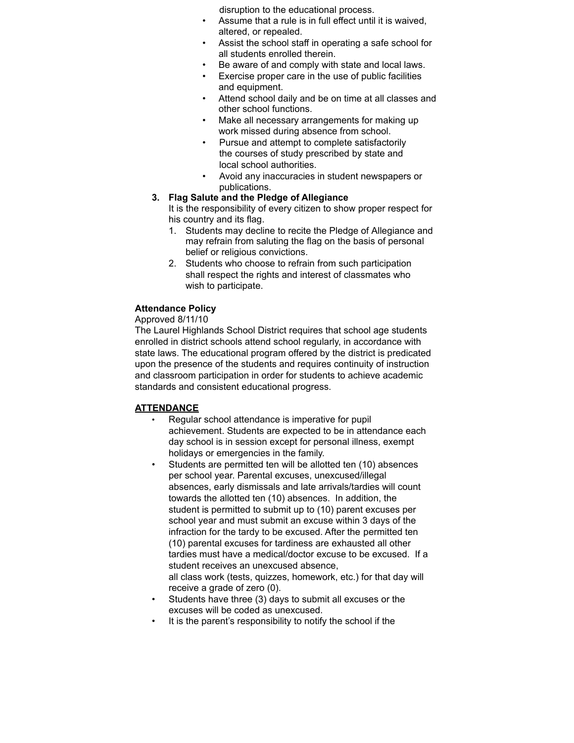disruption to the educational process.

- Assume that a rule is in full effect until it is waived, altered, or repealed.
- Assist the school staff in operating a safe school for all students enrolled therein.
- Be aware of and comply with state and local laws.
- Exercise proper care in the use of public facilities and equipment.
- Attend school daily and be on time at all classes and other school functions.
- Make all necessary arrangements for making up work missed during absence from school.
- Pursue and attempt to complete satisfactorily the courses of study prescribed by state and local school authorities.
- Avoid any inaccuracies in student newspapers or publications.
- **3. Flag Salute and the Pledge of Allegiance**

It is the responsibility of every citizen to show proper respect for his country and its flag.

- 1. Students may decline to recite the Pledge of Allegiance and may refrain from saluting the flag on the basis of personal belief or religious convictions.
- 2. Students who choose to refrain from such participation shall respect the rights and interest of classmates who wish to participate.

# **Attendance Policy**

Approved 8/11/10

The Laurel Highlands School District requires that school age students enrolled in district schools attend school regularly, in accordance with state laws. The educational program offered by the district is predicated upon the presence of the students and requires continuity of instruction and classroom participation in order for students to achieve academic standards and consistent educational progress.

# **ATTENDANCE**

- Regular school attendance is imperative for pupil achievement. Students are expected to be in attendance each day school is in session except for personal illness, exempt holidays or emergencies in the family.
- Students are permitted ten will be allotted ten (10) absences per school year. Parental excuses, unexcused/illegal absences, early dismissals and late arrivals/tardies will count towards the allotted ten (10) absences. In addition, the student is permitted to submit up to (10) parent excuses per school year and must submit an excuse within 3 days of the infraction for the tardy to be excused. After the permitted ten (10) parental excuses for tardiness are exhausted all other tardies must have a medical/doctor excuse to be excused. If a student receives an unexcused absence, all class work (tests, quizzes, homework, etc.) for that day will receive a grade of zero (0).
- Students have three (3) days to submit all excuses or the excuses will be coded as unexcused.
- It is the parent's responsibility to notify the school if the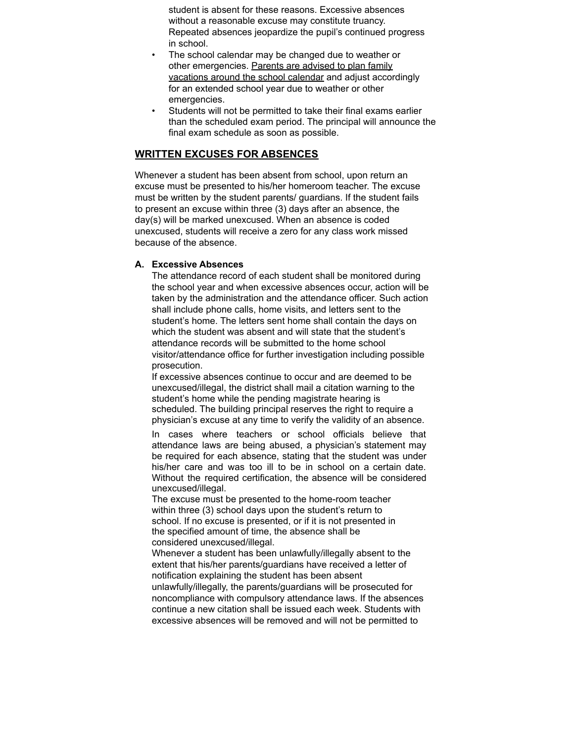student is absent for these reasons. Excessive absences without a reasonable excuse may constitute truancy. Repeated absences jeopardize the pupil's continued progress in school.

- The school calendar may be changed due to weather or other emergencies. Parents are advised to plan family vacations around the school calendar and adjust accordingly for an extended school year due to weather or other emergencies.
- Students will not be permitted to take their final exams earlier than the scheduled exam period. The principal will announce the final exam schedule as soon as possible.

# **WRITTEN EXCUSES FOR ABSENCES**

Whenever a student has been absent from school, upon return an excuse must be presented to his/her homeroom teacher. The excuse must be written by the student parents/ guardians. If the student fails to present an excuse within three (3) days after an absence, the day(s) will be marked unexcused. When an absence is coded unexcused, students will receive a zero for any class work missed because of the absence.

#### **A. Excessive Absences**

The attendance record of each student shall be monitored during the school year and when excessive absences occur, action will be taken by the administration and the attendance officer. Such action shall include phone calls, home visits, and letters sent to the student's home. The letters sent home shall contain the days on which the student was absent and will state that the student's attendance records will be submitted to the home school visitor/attendance office for further investigation including possible prosecution.

If excessive absences continue to occur and are deemed to be unexcused/illegal, the district shall mail a citation warning to the student's home while the pending magistrate hearing is scheduled. The building principal reserves the right to require a physician's excuse at any time to verify the validity of an absence.

In cases where teachers or school officials believe that attendance laws are being abused, a physician's statement may be required for each absence, stating that the student was under his/her care and was too ill to be in school on a certain date. Without the required certification, the absence will be considered unexcused/illegal.

The excuse must be presented to the home-room teacher within three (3) school days upon the student's return to school. If no excuse is presented, or if it is not presented in the specified amount of time, the absence shall be considered unexcused/illegal.

Whenever a student has been unlawfully/illegally absent to the extent that his/her parents/guardians have received a letter of notification explaining the student has been absent unlawfully/illegally, the parents/guardians will be prosecuted for noncompliance with compulsory attendance laws. If the absences continue a new citation shall be issued each week. Students with excessive absences will be removed and will not be permitted to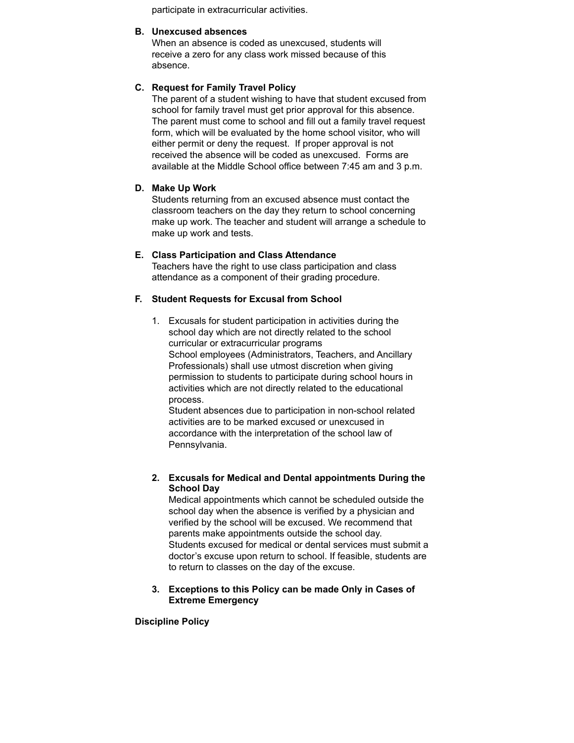participate in extracurricular activities.

#### **B. Unexcused absences**

When an absence is coded as unexcused, students will receive a zero for any class work missed because of this absence.

#### **C. Request for Family Travel Policy**

The parent of a student wishing to have that student excused from school for family travel must get prior approval for this absence. The parent must come to school and fill out a family travel request form, which will be evaluated by the home school visitor, who will either permit or deny the request. If proper approval is not received the absence will be coded as unexcused. Forms are available at the Middle School office between 7:45 am and 3 p.m.

#### **D. Make Up Work**

Students returning from an excused absence must contact the classroom teachers on the day they return to school concerning make up work. The teacher and student will arrange a schedule to make up work and tests.

#### **E. Class Participation and Class Attendance**

Teachers have the right to use class participation and class attendance as a component of their grading procedure.

#### **F. Student Requests for Excusal from School**

1. Excusals for student participation in activities during the school day which are not directly related to the school curricular or extracurricular programs School employees (Administrators, Teachers, and Ancillary Professionals) shall use utmost discretion when giving permission to students to participate during school hours in activities which are not directly related to the educational process.

Student absences due to participation in non-school related activities are to be marked excused or unexcused in accordance with the interpretation of the school law of Pennsylvania.

#### **2. Excusals for Medical and Dental appointments During the School Day**

Medical appointments which cannot be scheduled outside the school day when the absence is verified by a physician and verified by the school will be excused. We recommend that parents make appointments outside the school day. Students excused for medical or dental services must submit a doctor's excuse upon return to school. If feasible, students are to return to classes on the day of the excuse.

#### **3. Exceptions to this Policy can be made Only in Cases of Extreme Emergency**

#### **Discipline Policy**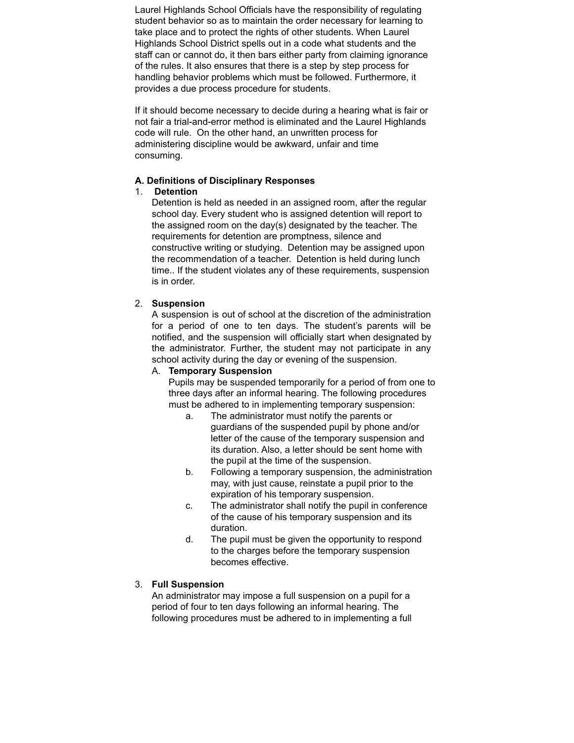Laurel Highlands School Officials have the responsibility of regulating student behavior so as to maintain the order necessary for learning to take place and to protect the rights of other students. When Laurel Highlands School District spells out in a code what students and the staff can or cannot do, it then bars either party from claiming ignorance of the rules. It also ensures that there is a step by step process for handling behavior problems which must be followed. Furthermore, it provides a due process procedure for students.

If it should become necessary to decide during a hearing what is fair or not fair a trial-and-error method is eliminated and the Laurel Highlands code will rule. On the other hand, an unwritten process for administering discipline would be awkward, unfair and time consuming.

#### **A. Definitions of Disciplinary Responses**

### 1. **Detention**

Detention is held as needed in an assigned room, after the regular school day. Every student who is assigned detention will report to the assigned room on the day(s) designated by the teacher. The requirements for detention are promptness, silence and constructive writing or studying. Detention may be assigned upon the recommendation of a teacher. Detention is held during lunch time.. If the student violates any of these requirements, suspension is in order.

### 2. **Suspension**

A suspension is out of school at the discretion of the administration for a period of one to ten days. The student's parents will be notified, and the suspension will officially start when designated by the administrator. Further, the student may not participate in any school activity during the day or evening of the suspension.

#### A. **Temporary Suspension**

Pupils may be suspended temporarily for a period of from one to three days after an informal hearing. The following procedures must be adhered to in implementing temporary suspension:

- a. The administrator must notify the parents or guardians of the suspended pupil by phone and/or letter of the cause of the temporary suspension and its duration. Also, a letter should be sent home with the pupil at the time of the suspension.
- b. Following a temporary suspension, the administration may, with just cause, reinstate a pupil prior to the expiration of his temporary suspension.
- c. The administrator shall notify the pupil in conference of the cause of his temporary suspension and its duration.
- d. The pupil must be given the opportunity to respond to the charges before the temporary suspension becomes effective.

# 3. **Full Suspension**

An administrator may impose a full suspension on a pupil for a period of four to ten days following an informal hearing. The following procedures must be adhered to in implementing a full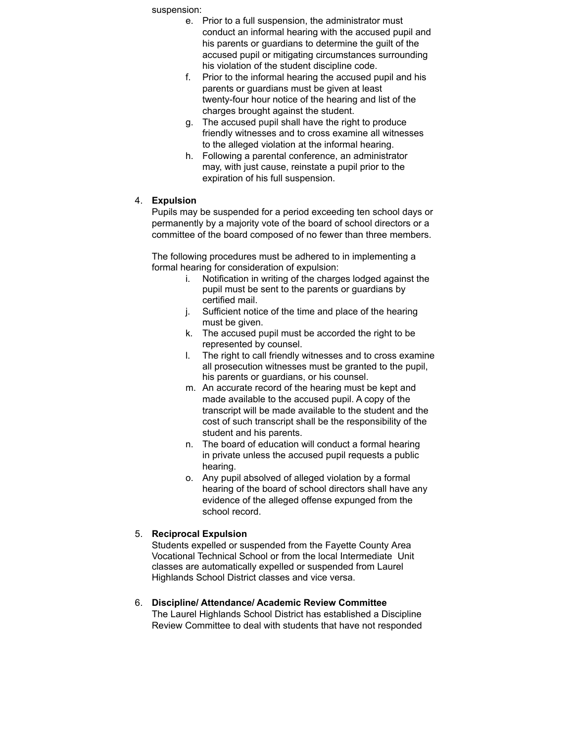suspension:

- e. Prior to a full suspension, the administrator must conduct an informal hearing with the accused pupil and his parents or guardians to determine the guilt of the accused pupil or mitigating circumstances surrounding his violation of the student discipline code.
- f. Prior to the informal hearing the accused pupil and his parents or guardians must be given at least twenty-four hour notice of the hearing and list of the charges brought against the student.
- g. The accused pupil shall have the right to produce friendly witnesses and to cross examine all witnesses to the alleged violation at the informal hearing.
- h. Following a parental conference, an administrator may, with just cause, reinstate a pupil prior to the expiration of his full suspension.

# 4. **Expulsion**

Pupils may be suspended for a period exceeding ten school days or permanently by a majority vote of the board of school directors or a committee of the board composed of no fewer than three members.

The following procedures must be adhered to in implementing a formal hearing for consideration of expulsion:

- i. Notification in writing of the charges lodged against the pupil must be sent to the parents or guardians by certified mail.
- j. Sufficient notice of the time and place of the hearing must be given.
- k. The accused pupil must be accorded the right to be represented by counsel.
- l. The right to call friendly witnesses and to cross examine all prosecution witnesses must be granted to the pupil, his parents or guardians, or his counsel.
- m. An accurate record of the hearing must be kept and made available to the accused pupil. A copy of the transcript will be made available to the student and the cost of such transcript shall be the responsibility of the student and his parents.
- n. The board of education will conduct a formal hearing in private unless the accused pupil requests a public hearing.
- o. Any pupil absolved of alleged violation by a formal hearing of the board of school directors shall have any evidence of the alleged offense expunged from the school record.

# 5. **Reciprocal Expulsion**

Students expelled or suspended from the Fayette County Area Vocational Technical School or from the local Intermediate Unit classes are automatically expelled or suspended from Laurel Highlands School District classes and vice versa.

# 6. **Discipline/ Attendance/ Academic Review Committee**

The Laurel Highlands School District has established a Discipline Review Committee to deal with students that have not responded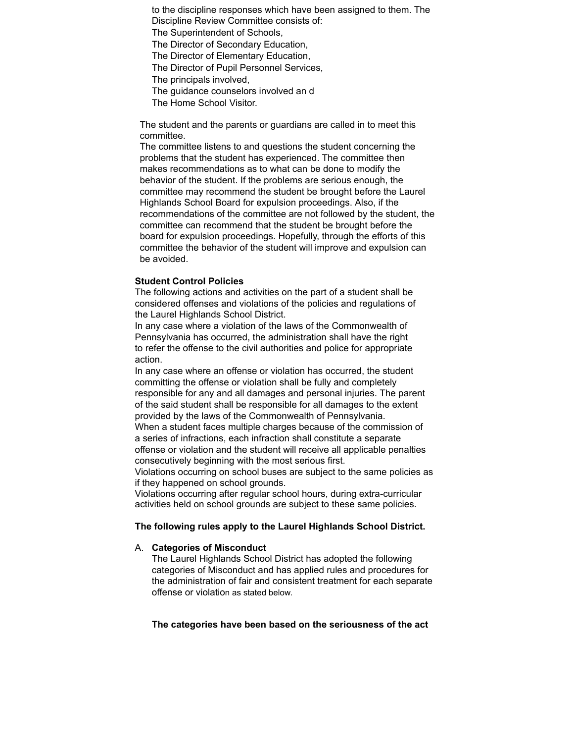to the discipline responses which have been assigned to them. The Discipline Review Committee consists of:

The Superintendent of Schools,

The Director of Secondary Education,

The Director of Elementary Education,

The Director of Pupil Personnel Services,

The principals involved,

The guidance counselors involved an d

The Home School Visitor.

The student and the parents or guardians are called in to meet this committee.

The committee listens to and questions the student concerning the problems that the student has experienced. The committee then makes recommendations as to what can be done to modify the behavior of the student. If the problems are serious enough, the committee may recommend the student be brought before the Laurel Highlands School Board for expulsion proceedings. Also, if the recommendations of the committee are not followed by the student, the committee can recommend that the student be brought before the board for expulsion proceedings. Hopefully, through the efforts of this committee the behavior of the student will improve and expulsion can be avoided.

#### **Student Control Policies**

The following actions and activities on the part of a student shall be considered offenses and violations of the policies and regulations of the Laurel Highlands School District.

In any case where a violation of the laws of the Commonwealth of Pennsylvania has occurred, the administration shall have the right to refer the offense to the civil authorities and police for appropriate action.

In any case where an offense or violation has occurred, the student committing the offense or violation shall be fully and completely responsible for any and all damages and personal injuries. The parent of the said student shall be responsible for all damages to the extent provided by the laws of the Commonwealth of Pennsylvania. When a student faces multiple charges because of the commission of a series of infractions, each infraction shall constitute a separate offense or violation and the student will receive all applicable penalties consecutively beginning with the most serious first.

Violations occurring on school buses are subject to the same policies as if they happened on school grounds.

Violations occurring after regular school hours, during extra-curricular activities held on school grounds are subject to these same policies.

#### **The following rules apply to the Laurel Highlands School District.**

#### A. **Categories of Misconduct**

The Laurel Highlands School District has adopted the following categories of Misconduct and has applied rules and procedures for the administration of fair and consistent treatment for each separate offense or violation as stated below.

#### **The categories have been based on the seriousness of the act**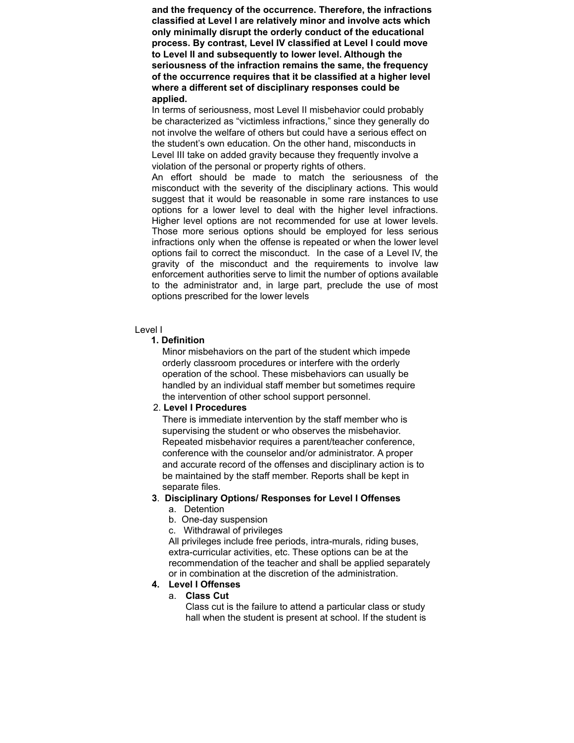**and the frequency of the occurrence. Therefore, the infractions classified at Level I are relatively minor and involve acts which only minimally disrupt the orderly conduct of the educational process. By contrast, Level IV classified at Level I could move to Level II and subsequently to lower level. Although the seriousness of the infraction remains the same, the frequency of the occurrence requires that it be classified at a higher level where a different set of disciplinary responses could be applied.**

In terms of seriousness, most Level II misbehavior could probably be characterized as "victimless infractions," since they generally do not involve the welfare of others but could have a serious effect on the student's own education. On the other hand, misconducts in Level III take on added gravity because they frequently involve a violation of the personal or property rights of others.

An effort should be made to match the seriousness of the misconduct with the severity of the disciplinary actions. This would suggest that it would be reasonable in some rare instances to use options for a lower level to deal with the higher level infractions. Higher level options are not recommended for use at lower levels. Those more serious options should be employed for less serious infractions only when the offense is repeated or when the lower level options fail to correct the misconduct. In the case of a Level IV, the gravity of the misconduct and the requirements to involve law enforcement authorities serve to limit the number of options available to the administrator and, in large part, preclude the use of most options prescribed for the lower levels

#### Level I

#### **1. Definition**

Minor misbehaviors on the part of the student which impede orderly classroom procedures or interfere with the orderly operation of the school. These misbehaviors can usually be handled by an individual staff member but sometimes require the intervention of other school support personnel.

# 2. **Level I Procedures**

There is immediate intervention by the staff member who is supervising the student or who observes the misbehavior. Repeated misbehavior requires a parent/teacher conference, conference with the counselor and/or administrator. A proper and accurate record of the offenses and disciplinary action is to be maintained by the staff member. Reports shall be kept in separate files.

#### **3**. **Disciplinary Options/ Responses for Level I Offenses**

- a. Detention
- b. One-day suspension
- c. Withdrawal of privileges

All privileges include free periods, intra-murals, riding buses, extra-curricular activities, etc. These options can be at the recommendation of the teacher and shall be applied separately or in combination at the discretion of the administration.

### **4. Level I Offenses**

#### a. **Class Cut**

Class cut is the failure to attend a particular class or study hall when the student is present at school. If the student is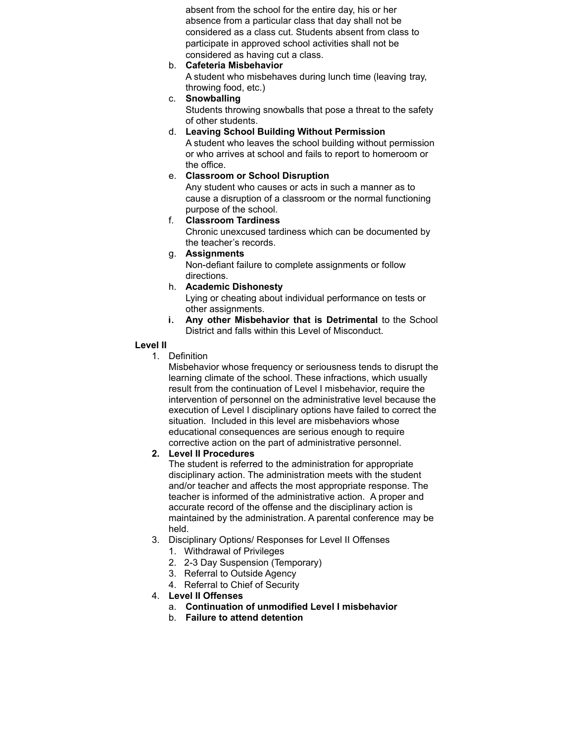absent from the school for the entire day, his or her absence from a particular class that day shall not be considered as a class cut. Students absent from class to participate in approved school activities shall not be considered as having cut a class.

b. **Cafeteria Misbehavior**

A student who misbehaves during lunch time (leaving tray, throwing food, etc.)

- c. **Snowballing** Students throwing snowballs that pose a threat to the safety of other students.
- d. **Leaving School Building Without Permission** A student who leaves the school building without permission or who arrives at school and fails to report to homeroom or the office.

# e. **Classroom or School Disruption**

Any student who causes or acts in such a manner as to cause a disruption of a classroom or the normal functioning purpose of the school.

f. **Classroom Tardiness**

Chronic unexcused tardiness which can be documented by the teacher's records.

- g. **Assignments** Non-defiant failure to complete assignments or follow directions.
- h. **Academic Dishonesty** Lying or cheating about individual performance on tests or other assignments.
- i. **Any other Misbehavior that is Detrimental** to the School District and falls within this Level of Misconduct.

# **Level II**

1. Definition

Misbehavior whose frequency or seriousness tends to disrupt the learning climate of the school. These infractions, which usually result from the continuation of Level I misbehavior, require the intervention of personnel on the administrative level because the execution of Level I disciplinary options have failed to correct the situation. Included in this level are misbehaviors whose educational consequences are serious enough to require corrective action on the part of administrative personnel.

# **2. Level II Procedures**

The student is referred to the administration for appropriate disciplinary action. The administration meets with the student and/or teacher and affects the most appropriate response. The teacher is informed of the administrative action. A proper and accurate record of the offense and the disciplinary action is maintained by the administration. A parental conference may be held.

- 3. Disciplinary Options/ Responses for Level II Offenses
	- 1. Withdrawal of Privileges
	- 2. 2-3 Day Suspension (Temporary)
	- 3. Referral to Outside Agency
	- 4. Referral to Chief of Security

# 4. **Level II Offenses**

- a. **Continuation of unmodified Level I misbehavior**
- b. **Failure to attend detention**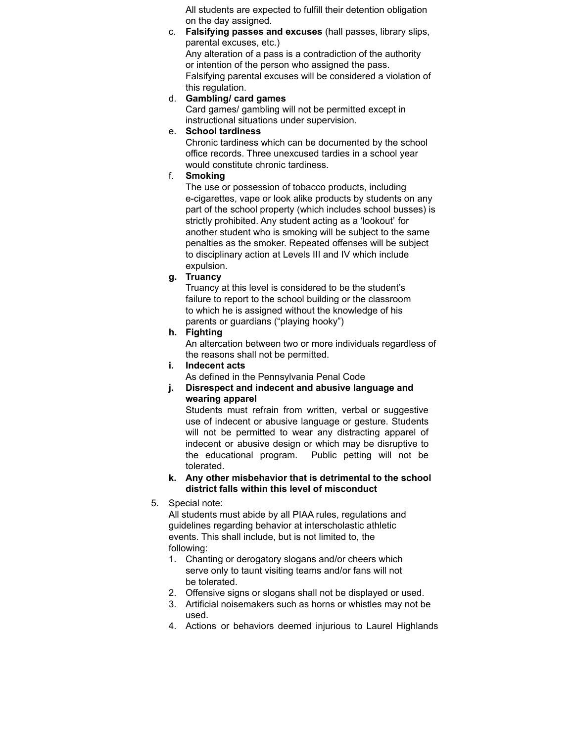All students are expected to fulfill their detention obligation on the day assigned.

- c. **Falsifying passes and excuses** (hall passes, library slips, parental excuses, etc.) Any alteration of a pass is a contradiction of the authority or intention of the person who assigned the pass. Falsifying parental excuses will be considered a violation of this regulation.
- d. **Gambling/ card games**

Card games/ gambling will not be permitted except in instructional situations under supervision.

e. **School tardiness**

Chronic tardiness which can be documented by the school office records. Three unexcused tardies in a school year would constitute chronic tardiness.

f. **Smoking**

The use or possession of tobacco products, including e-cigarettes, vape or look alike products by students on any part of the school property (which includes school busses) is strictly prohibited. Any student acting as a 'lookout' for another student who is smoking will be subject to the same penalties as the smoker. Repeated offenses will be subject to disciplinary action at Levels III and IV which include expulsion.

**g. Truancy**

Truancy at this level is considered to be the student's failure to report to the school building or the classroom to which he is assigned without the knowledge of his parents or guardians ("playing hooky")

**h. Fighting**

An altercation between two or more individuals regardless of the reasons shall not be permitted.

**i. Indecent acts**

As defined in the Pennsylvania Penal Code

**j. Disrespect and indecent and abusive language and wearing apparel**

Students must refrain from written, verbal or suggestive use of indecent or abusive language or gesture. Students will not be permitted to wear any distracting apparel of indecent or abusive design or which may be disruptive to the educational program. Public petting will not be tolerated.

- **k. Any other misbehavior that is detrimental to the school district falls within this level of misconduct**
- 5. Special note:

All students must abide by all PIAA rules, regulations and guidelines regarding behavior at interscholastic athletic events. This shall include, but is not limited to, the following:

- 1. Chanting or derogatory slogans and/or cheers which serve only to taunt visiting teams and/or fans will not be tolerated.
- 2. Offensive signs or slogans shall not be displayed or used.
- 3. Artificial noisemakers such as horns or whistles may not be used.
- 4. Actions or behaviors deemed injurious to Laurel Highlands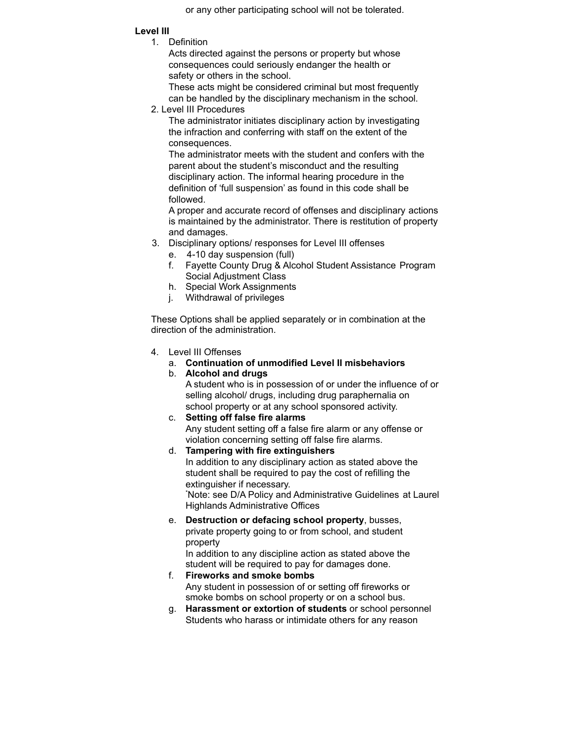or any other participating school will not be tolerated.

# **Level III**

1. Definition

Acts directed against the persons or property but whose consequences could seriously endanger the health or safety or others in the school.

These acts might be considered criminal but most frequently can be handled by the disciplinary mechanism in the school.

2. Level III Procedures

The administrator initiates disciplinary action by investigating the infraction and conferring with staff on the extent of the consequences.

The administrator meets with the student and confers with the parent about the student's misconduct and the resulting disciplinary action. The informal hearing procedure in the definition of 'full suspension' as found in this code shall be followed.

A proper and accurate record of offenses and disciplinary actions is maintained by the administrator. There is restitution of property and damages.

- 3. Disciplinary options/ responses for Level III offenses
	- e. 4-10 day suspension (full)
	- f. Fayette County Drug & Alcohol Student Assistance Program Social Adjustment Class
	- h. Special Work Assignments
	- j. Withdrawal of privileges

These Options shall be applied separately or in combination at the direction of the administration.

- 4. Level III Offenses
	- a. **Continuation of unmodified Level II misbehaviors**
	- b. **Alcohol and drugs**

A student who is in possession of or under the influence of or selling alcohol/ drugs, including drug paraphernalia on school property or at any school sponsored activity.

- c. **Setting off false fire alarms** Any student setting off a false fire alarm or any offense or violation concerning setting off false fire alarms.
- d. **Tampering with fire extinguishers** In addition to any disciplinary action as stated above the student shall be required to pay the cost of refilling the extinguisher if necessary. \*Note: see D/A Policy and Administrative Guidelines at Laurel Highlands Administrative Offices
- e. **Destruction or defacing school property**, busses, private property going to or from school, and student property

In addition to any discipline action as stated above the student will be required to pay for damages done.

- f. **Fireworks and smoke bombs** Any student in possession of or setting off fireworks or smoke bombs on school property or on a school bus.
- g. **Harassment or extortion of students** or school personnel Students who harass or intimidate others for any reason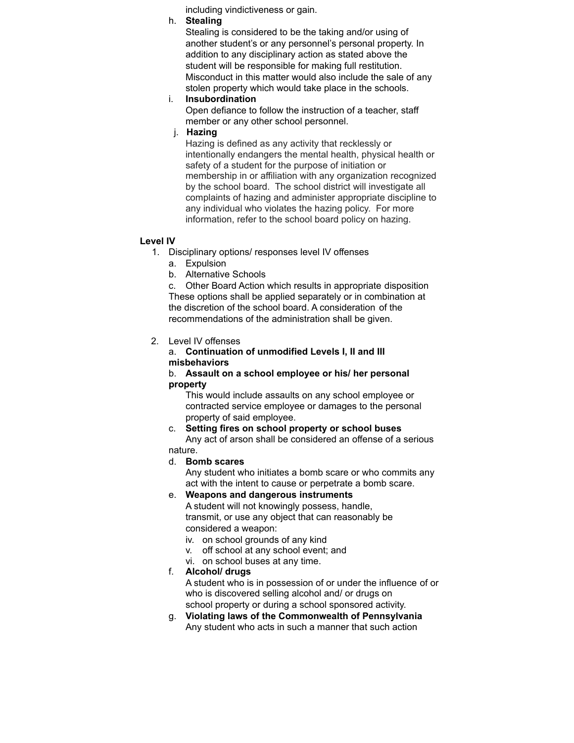including vindictiveness or gain.

h. **Stealing**

Stealing is considered to be the taking and/or using of another student's or any personnel's personal property. In addition to any disciplinary action as stated above the student will be responsible for making full restitution. Misconduct in this matter would also include the sale of any stolen property which would take place in the schools.

i. **Insubordination**

Open defiance to follow the instruction of a teacher, staff member or any other school personnel.

j. **Hazing**

Hazing is defined as any activity that recklessly or intentionally endangers the mental health, physical health or safety of a student for the purpose of initiation or membership in or affiliation with any organization recognized by the school board. The school district will investigate all complaints of hazing and administer appropriate discipline to any individual who violates the hazing policy. For more information, refer to the school board policy on hazing.

### **Level IV**

- 1. Disciplinary options/ responses level IV offenses
	- a. Expulsion
	- b. Alternative Schools

c. Other Board Action which results in appropriate disposition These options shall be applied separately or in combination at the discretion of the school board. A consideration of the recommendations of the administration shall be given.

# 2. Level IV offenses

#### a. **Continuation of unmodified Levels I, II and III misbehaviors**

#### b. **Assault on a school employee or his/ her personal property**

This would include assaults on any school employee or contracted service employee or damages to the personal property of said employee.

#### c. **Setting fires on school property or school buses**

Any act of arson shall be considered an offense of a serious nature.

# d. **Bomb scares**

Any student who initiates a bomb scare or who commits any act with the intent to cause or perpetrate a bomb scare.

# e. **Weapons and dangerous instruments**

A student will not knowingly possess, handle, transmit, or use any object that can reasonably be considered a weapon:

- iv. on school grounds of any kind
- v. off school at any school event; and
- vi. on school buses at any time.

# f. **Alcohol/ drugs**

A student who is in possession of or under the influence of or who is discovered selling alcohol and/ or drugs on school property or during a school sponsored activity.

g. **Violating laws of the Commonwealth of Pennsylvania** Any student who acts in such a manner that such action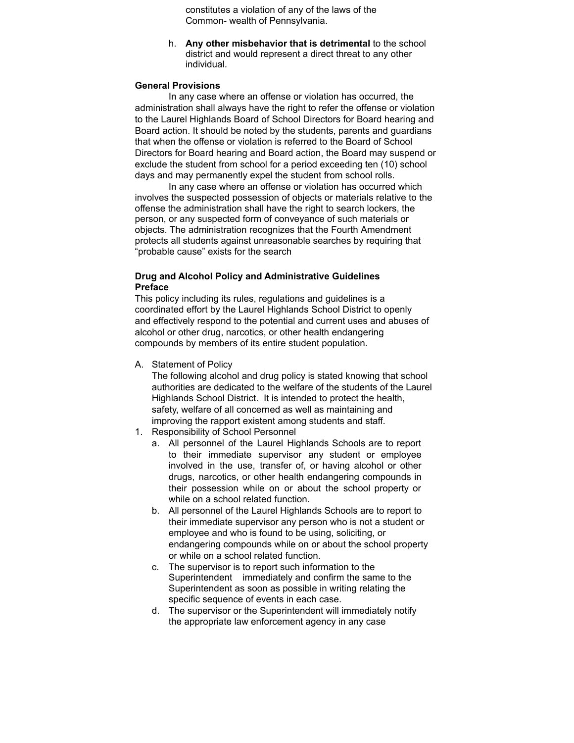constitutes a violation of any of the laws of the Common- wealth of Pennsylvania.

h. **Any other misbehavior that is detrimental** to the school district and would represent a direct threat to any other individual.

#### **General Provisions**

In any case where an offense or violation has occurred, the administration shall always have the right to refer the offense or violation to the Laurel Highlands Board of School Directors for Board hearing and Board action. It should be noted by the students, parents and guardians that when the offense or violation is referred to the Board of School Directors for Board hearing and Board action, the Board may suspend or exclude the student from school for a period exceeding ten (10) school days and may permanently expel the student from school rolls.

In any case where an offense or violation has occurred which involves the suspected possession of objects or materials relative to the offense the administration shall have the right to search lockers, the person, or any suspected form of conveyance of such materials or objects. The administration recognizes that the Fourth Amendment protects all students against unreasonable searches by requiring that "probable cause" exists for the search

#### **Drug and Alcohol Policy and Administrative Guidelines Preface**

This policy including its rules, regulations and guidelines is a coordinated effort by the Laurel Highlands School District to openly and effectively respond to the potential and current uses and abuses of alcohol or other drug, narcotics, or other health endangering compounds by members of its entire student population.

A. Statement of Policy

The following alcohol and drug policy is stated knowing that school authorities are dedicated to the welfare of the students of the Laurel Highlands School District. It is intended to protect the health, safety, welfare of all concerned as well as maintaining and improving the rapport existent among students and staff.

- 1. Responsibility of School Personnel
	- a. All personnel of the Laurel Highlands Schools are to report to their immediate supervisor any student or employee involved in the use, transfer of, or having alcohol or other drugs, narcotics, or other health endangering compounds in their possession while on or about the school property or while on a school related function.
	- b. All personnel of the Laurel Highlands Schools are to report to their immediate supervisor any person who is not a student or employee and who is found to be using, soliciting, or endangering compounds while on or about the school property or while on a school related function.
	- c. The supervisor is to report such information to the Superintendent immediately and confirm the same to the Superintendent as soon as possible in writing relating the specific sequence of events in each case.
	- d. The supervisor or the Superintendent will immediately notify the appropriate law enforcement agency in any case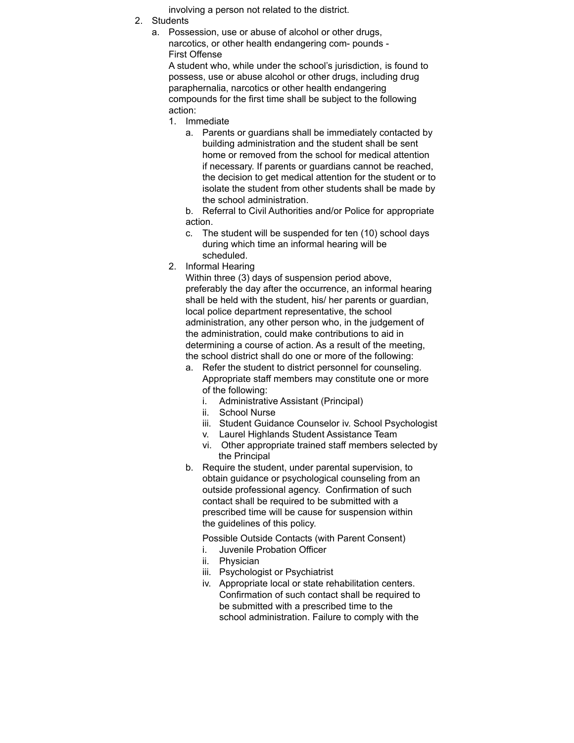involving a person not related to the district.

- 2. Students
	- a. Possession, use or abuse of alcohol or other drugs, narcotics, or other health endangering com- pounds - First Offense

A student who, while under the school's jurisdiction, is found to possess, use or abuse alcohol or other drugs, including drug paraphernalia, narcotics or other health endangering compounds for the first time shall be subject to the following action:

- 1. Immediate
	- a. Parents or guardians shall be immediately contacted by building administration and the student shall be sent home or removed from the school for medical attention if necessary. If parents or guardians cannot be reached, the decision to get medical attention for the student or to isolate the student from other students shall be made by the school administration.
	- b. Referral to Civil Authorities and/or Police for appropriate action.
	- c. The student will be suspended for ten (10) school days during which time an informal hearing will be scheduled.
- 2. Informal Hearing

Within three (3) days of suspension period above, preferably the day after the occurrence, an informal hearing shall be held with the student, his/ her parents or guardian, local police department representative, the school administration, any other person who, in the judgement of the administration, could make contributions to aid in determining a course of action. As a result of the meeting, the school district shall do one or more of the following:

- a. Refer the student to district personnel for counseling. Appropriate staff members may constitute one or more of the following:
	- i. Administrative Assistant (Principal)
	- ii. School Nurse
	- iii. Student Guidance Counselor iv. School Psychologist
	- v. Laurel Highlands Student Assistance Team
	- vi. Other appropriate trained staff members selected by the Principal
- b. Require the student, under parental supervision, to obtain guidance or psychological counseling from an outside professional agency. Confirmation of such contact shall be required to be submitted with a prescribed time will be cause for suspension within the guidelines of this policy.

Possible Outside Contacts (with Parent Consent)

- i. Juvenile Probation Officer
- ii. Physician
- iii. Psychologist or Psychiatrist
- iv. Appropriate local or state rehabilitation centers. Confirmation of such contact shall be required to be submitted with a prescribed time to the school administration. Failure to comply with the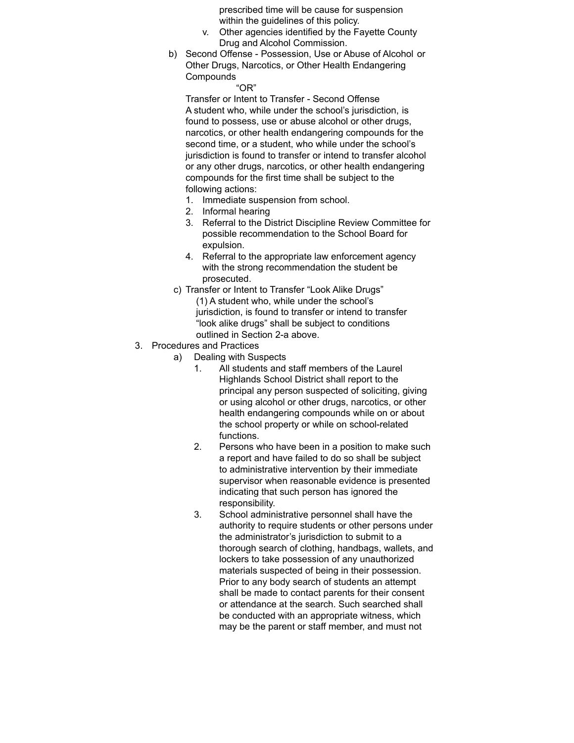prescribed time will be cause for suspension within the guidelines of this policy.

- v. Other agencies identified by the Fayette County Drug and Alcohol Commission.
- b) Second Offense Possession, Use or Abuse of Alcohol or Other Drugs, Narcotics, or Other Health Endangering **Compounds**

#### "OR"

Transfer or Intent to Transfer - Second Offense A student who, while under the school's jurisdiction, is found to possess, use or abuse alcohol or other drugs. narcotics, or other health endangering compounds for the second time, or a student, who while under the school's jurisdiction is found to transfer or intend to transfer alcohol or any other drugs, narcotics, or other health endangering compounds for the first time shall be subject to the following actions:

- 1. Immediate suspension from school.
- 2. Informal hearing
- 3. Referral to the District Discipline Review Committee for possible recommendation to the School Board for expulsion.
- 4. Referral to the appropriate law enforcement agency with the strong recommendation the student be prosecuted.
- c) Transfer or Intent to Transfer "Look Alike Drugs" (1) A student who, while under the school's jurisdiction, is found to transfer or intend to transfer "look alike drugs" shall be subject to conditions outlined in Section 2-a above.
- 3. Procedures and Practices
	- a) Dealing with Suspects
		- 1. All students and staff members of the Laurel Highlands School District shall report to the principal any person suspected of soliciting, giving or using alcohol or other drugs, narcotics, or other health endangering compounds while on or about the school property or while on school-related functions.
		- 2. Persons who have been in a position to make such a report and have failed to do so shall be subject to administrative intervention by their immediate supervisor when reasonable evidence is presented indicating that such person has ignored the responsibility.
		- 3. School administrative personnel shall have the authority to require students or other persons under the administrator's jurisdiction to submit to a thorough search of clothing, handbags, wallets, and lockers to take possession of any unauthorized materials suspected of being in their possession. Prior to any body search of students an attempt shall be made to contact parents for their consent or attendance at the search. Such searched shall be conducted with an appropriate witness, which may be the parent or staff member, and must not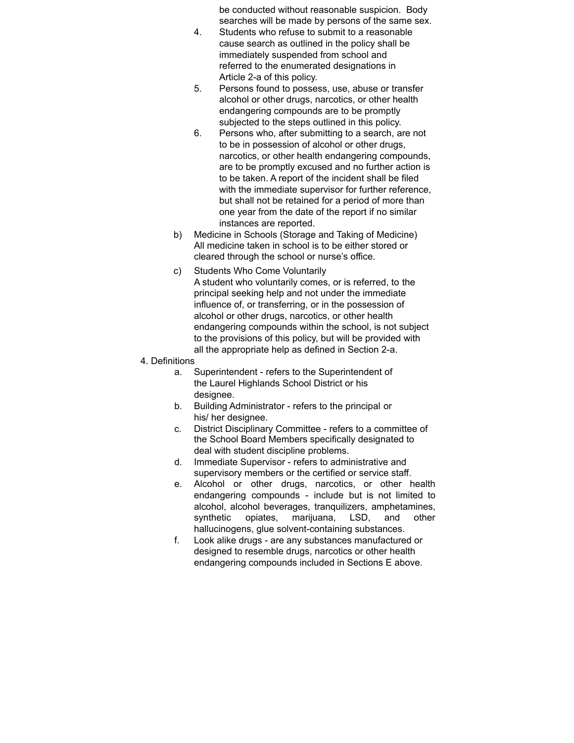be conducted without reasonable suspicion. Body searches will be made by persons of the same sex.

- 4. Students who refuse to submit to a reasonable cause search as outlined in the policy shall be immediately suspended from school and referred to the enumerated designations in Article 2-a of this policy.
- 5. Persons found to possess, use, abuse or transfer alcohol or other drugs, narcotics, or other health endangering compounds are to be promptly subjected to the steps outlined in this policy.
- 6. Persons who, after submitting to a search, are not to be in possession of alcohol or other drugs, narcotics, or other health endangering compounds, are to be promptly excused and no further action is to be taken. A report of the incident shall be filed with the immediate supervisor for further reference, but shall not be retained for a period of more than one year from the date of the report if no similar instances are reported.
- b) Medicine in Schools (Storage and Taking of Medicine) All medicine taken in school is to be either stored or cleared through the school or nurse's office.
- c) Students Who Come Voluntarily A student who voluntarily comes, or is referred, to the principal seeking help and not under the immediate influence of, or transferring, or in the possession of alcohol or other drugs, narcotics, or other health endangering compounds within the school, is not subject to the provisions of this policy, but will be provided with all the appropriate help as defined in Section 2-a.
- 4. Definitions
	- a. Superintendent refers to the Superintendent of the Laurel Highlands School District or his designee.
	- b. Building Administrator refers to the principal or his/ her designee.
	- c. District Disciplinary Committee refers to a committee of the School Board Members specifically designated to deal with student discipline problems.
	- d. Immediate Supervisor refers to administrative and supervisory members or the certified or service staff.
	- e. Alcohol or other drugs, narcotics, or other health endangering compounds - include but is not limited to alcohol, alcohol beverages, tranquilizers, amphetamines, synthetic opiates, marijuana, LSD, and other hallucinogens, glue solvent-containing substances.
	- f. Look alike drugs are any substances manufactured or designed to resemble drugs, narcotics or other health endangering compounds included in Sections E above.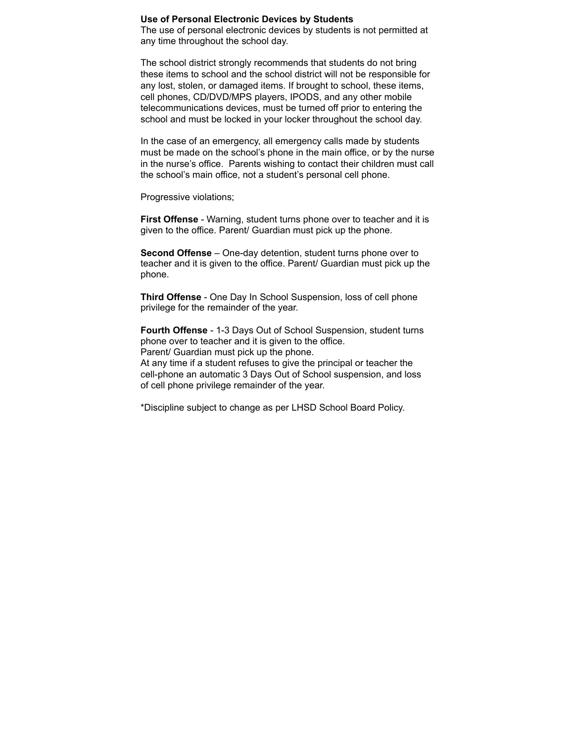#### **Use of Personal Electronic Devices by Students**

The use of personal electronic devices by students is not permitted at any time throughout the school day.

The school district strongly recommends that students do not bring these items to school and the school district will not be responsible for any lost, stolen, or damaged items. If brought to school, these items, cell phones, CD/DVD/MPS players, IPODS, and any other mobile telecommunications devices, must be turned off prior to entering the school and must be locked in your locker throughout the school day.

In the case of an emergency, all emergency calls made by students must be made on the school's phone in the main office, or by the nurse in the nurse's office. Parents wishing to contact their children must call the school's main office, not a student's personal cell phone.

Progressive violations;

**First Offense** - Warning, student turns phone over to teacher and it is given to the office. Parent/ Guardian must pick up the phone.

**Second Offense** – One-day detention, student turns phone over to teacher and it is given to the office. Parent/ Guardian must pick up the phone.

**Third Offense** - One Day In School Suspension, loss of cell phone privilege for the remainder of the year.

**Fourth Offense** - 1-3 Days Out of School Suspension, student turns phone over to teacher and it is given to the office. Parent/ Guardian must pick up the phone.

At any time if a student refuses to give the principal or teacher the cell-phone an automatic 3 Days Out of School suspension, and loss of cell phone privilege remainder of the year.

\*Discipline subject to change as per LHSD School Board Policy.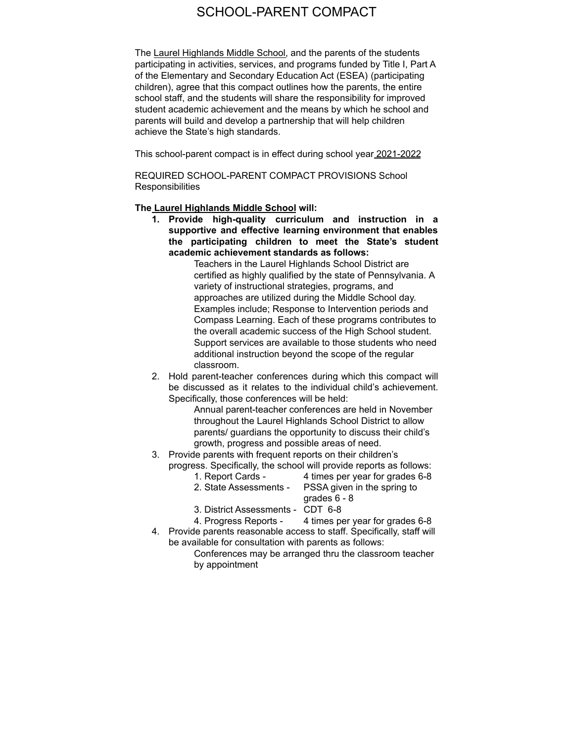# SCHOOL-PARENT COMPACT

The Laurel Highlands Middle School, and the parents of the students participating in activities, services, and programs funded by Title I, Part A of the Elementary and Secondary Education Act (ESEA) (participating children), agree that this compact outlines how the parents, the entire school staff, and the students will share the responsibility for improved student academic achievement and the means by which he school and parents will build and develop a partnership that will help children achieve the State's high standards.

This school-parent compact is in effect during school year 2021-2022

REQUIRED SCHOOL-PARENT COMPACT PROVISIONS School **Responsibilities** 

#### **The Laurel Highlands Middle School will:**

**1. Provide high-quality curriculum and instruction in a supportive and effective learning environment that enables the participating children to meet the State's student academic achievement standards as follows:**

Teachers in the Laurel Highlands School District are certified as highly qualified by the state of Pennsylvania. A variety of instructional strategies, programs, and approaches are utilized during the Middle School day. Examples include; Response to Intervention periods and Compass Learning. Each of these programs contributes to the overall academic success of the High School student. Support services are available to those students who need additional instruction beyond the scope of the regular classroom.

2. Hold parent-teacher conferences during which this compact will be discussed as it relates to the individual child's achievement. Specifically, those conferences will be held:

> Annual parent-teacher conferences are held in November throughout the Laurel Highlands School District to allow parents/ guardians the opportunity to discuss their child's growth, progress and possible areas of need.

- 3. Provide parents with frequent reports on their children's progress. Specifically, the school will provide reports as follows:
	- 1. Report Cards 4 times per year for grades 6-8
	- 2. State Assessments PSSA given in the spring to grades 6 - 8
	- 3. District Assessments CDT 6-8
	- 4. Progress Reports 4 times per year for grades 6-8
- 4. Provide parents reasonable access to staff. Specifically, staff will be available for consultation with parents as follows:
	- Conferences may be arranged thru the classroom teacher by appointment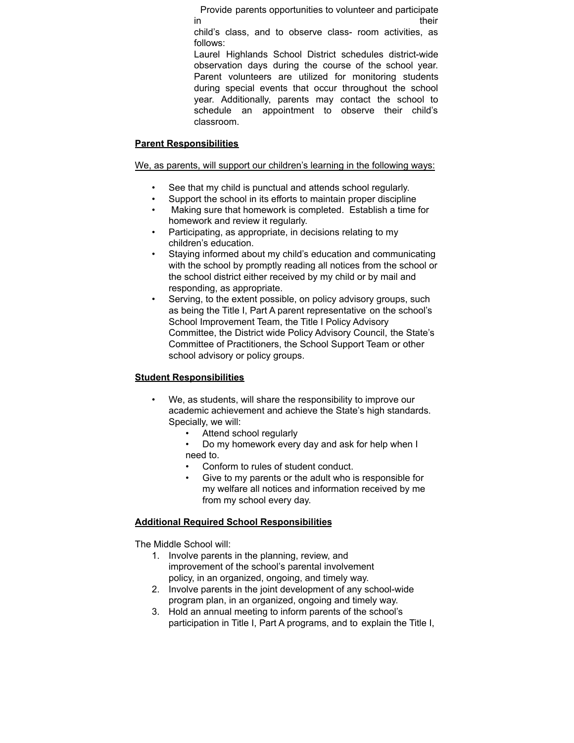Provide parents opportunities to volunteer and participate in their their their their their their their their their their their their their their their their their their

child's class, and to observe class- room activities, as follows:

Laurel Highlands School District schedules district-wide observation days during the course of the school year. Parent volunteers are utilized for monitoring students during special events that occur throughout the school year. Additionally, parents may contact the school to schedule an appointment to observe their child's classroom.

# **Parent Responsibilities**

### We, as parents, will support our children's learning in the following ways:

- See that my child is punctual and attends school regularly.
- Support the school in its efforts to maintain proper discipline
- Making sure that homework is completed. Establish a time for homework and review it regularly.
- Participating, as appropriate, in decisions relating to my children's education.
- Staying informed about my child's education and communicating with the school by promptly reading all notices from the school or the school district either received by my child or by mail and responding, as appropriate.
- Serving, to the extent possible, on policy advisory groups, such as being the Title I, Part A parent representative on the school's School Improvement Team, the Title I Policy Advisory Committee, the District wide Policy Advisory Council, the State's Committee of Practitioners, the School Support Team or other school advisory or policy groups.

# **Student Responsibilities**

- We, as students, will share the responsibility to improve our academic achievement and achieve the State's high standards. Specially, we will:
	- Attend school regularly
	- Do my homework every day and ask for help when I need to.
	- Conform to rules of student conduct.
	- Give to my parents or the adult who is responsible for my welfare all notices and information received by me from my school every day.

# **Additional Required School Responsibilities**

The Middle School will:

- 1. Involve parents in the planning, review, and improvement of the school's parental involvement policy, in an organized, ongoing, and timely way.
- 2. Involve parents in the joint development of any school-wide program plan, in an organized, ongoing and timely way.
- 3. Hold an annual meeting to inform parents of the school's participation in Title I, Part A programs, and to explain the Title I,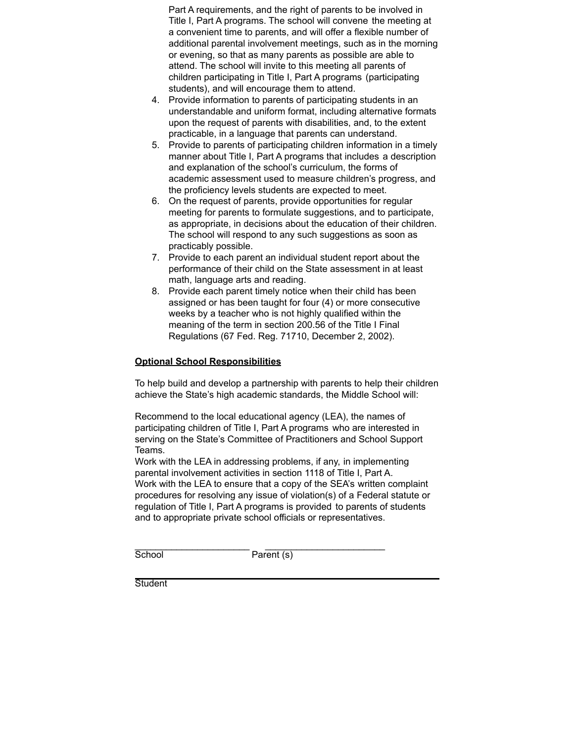Part A requirements, and the right of parents to be involved in Title I, Part A programs. The school will convene the meeting at a convenient time to parents, and will offer a flexible number of additional parental involvement meetings, such as in the morning or evening, so that as many parents as possible are able to attend. The school will invite to this meeting all parents of children participating in Title I, Part A programs (participating students), and will encourage them to attend.

- 4. Provide information to parents of participating students in an understandable and uniform format, including alternative formats upon the request of parents with disabilities, and, to the extent practicable, in a language that parents can understand.
- 5. Provide to parents of participating children information in a timely manner about Title I, Part A programs that includes a description and explanation of the school's curriculum, the forms of academic assessment used to measure children's progress, and the proficiency levels students are expected to meet.
- 6. On the request of parents, provide opportunities for regular meeting for parents to formulate suggestions, and to participate, as appropriate, in decisions about the education of their children. The school will respond to any such suggestions as soon as practicably possible.
- 7. Provide to each parent an individual student report about the performance of their child on the State assessment in at least math, language arts and reading.
- 8. Provide each parent timely notice when their child has been assigned or has been taught for four (4) or more consecutive weeks by a teacher who is not highly qualified within the meaning of the term in section 200.56 of the Title I Final Regulations (67 Fed. Reg. 71710, December 2, 2002).

# **Optional School Responsibilities**

To help build and develop a partnership with parents to help their children achieve the State's high academic standards, the Middle School will:

Recommend to the local educational agency (LEA), the names of participating children of Title I, Part A programs who are interested in serving on the State's Committee of Practitioners and School Support Teams.

Work with the LEA in addressing problems, if any, in implementing parental involvement activities in section 1118 of Title I, Part A. Work with the LEA to ensure that a copy of the SEA's written complaint procedures for resolving any issue of violation(s) of a Federal statute or regulation of Title I, Part A programs is provided to parents of students and to appropriate private school officials or representatives.

\_\_\_\_\_\_\_\_\_\_\_\_\_\_\_\_\_\_\_\_\_\_ \_\_\_\_\_\_\_\_\_\_\_\_\_\_\_\_\_\_\_\_\_\_\_

School Parent (s)

**Student**